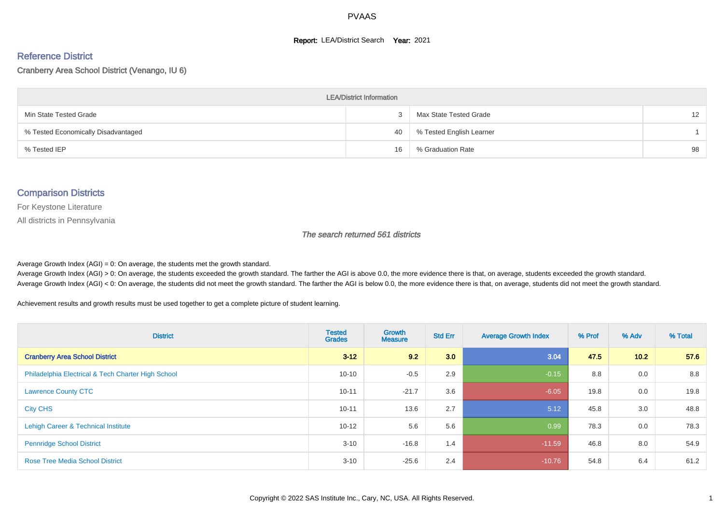#### **Report: LEA/District Search Year: 2021**

#### Reference District

#### Cranberry Area School District (Venango, IU 6)

| <b>LEA/District Information</b>     |    |                          |                   |  |  |  |  |  |  |  |
|-------------------------------------|----|--------------------------|-------------------|--|--|--|--|--|--|--|
| Min State Tested Grade              |    | Max State Tested Grade   | $12 \overline{ }$ |  |  |  |  |  |  |  |
| % Tested Economically Disadvantaged | 40 | % Tested English Learner |                   |  |  |  |  |  |  |  |
| % Tested IEP                        | 16 | % Graduation Rate        | 98                |  |  |  |  |  |  |  |

#### Comparison Districts

For Keystone Literature

All districts in Pennsylvania

The search returned 561 districts

Average Growth Index  $(AGI) = 0$ : On average, the students met the growth standard.

Average Growth Index (AGI) > 0: On average, the students exceeded the growth standard. The farther the AGI is above 0.0, the more evidence there is that, on average, students exceeded the growth standard. Average Growth Index (AGI) < 0: On average, the students did not meet the growth standard. The farther the AGI is below 0.0, the more evidence there is that, on average, students did not meet the growth standard.

Achievement results and growth results must be used together to get a complete picture of student learning.

| <b>District</b>                                    | <b>Tested</b><br><b>Grades</b> | <b>Growth</b><br><b>Measure</b> | <b>Std Err</b> | <b>Average Growth Index</b> | % Prof | % Adv | % Total |
|----------------------------------------------------|--------------------------------|---------------------------------|----------------|-----------------------------|--------|-------|---------|
| <b>Cranberry Area School District</b>              | $3 - 12$                       | 9.2                             | 3.0            | 3.04                        | 47.5   | 10.2  | 57.6    |
| Philadelphia Electrical & Tech Charter High School | $10 - 10$                      | $-0.5$                          | 2.9            | $-0.15$                     | 8.8    | 0.0   | 8.8     |
| <b>Lawrence County CTC</b>                         | $10 - 11$                      | $-21.7$                         | 3.6            | $-6.05$                     | 19.8   | 0.0   | 19.8    |
| <b>City CHS</b>                                    | $10 - 11$                      | 13.6                            | 2.7            | 5.12                        | 45.8   | 3.0   | 48.8    |
| Lehigh Career & Technical Institute                | $10 - 12$                      | 5.6                             | 5.6            | 0.99                        | 78.3   | 0.0   | 78.3    |
| <b>Pennridge School District</b>                   | $3 - 10$                       | $-16.8$                         | 1.4            | $-11.59$                    | 46.8   | 8.0   | 54.9    |
| <b>Rose Tree Media School District</b>             | $3 - 10$                       | $-25.6$                         | 2.4            | $-10.76$                    | 54.8   | 6.4   | 61.2    |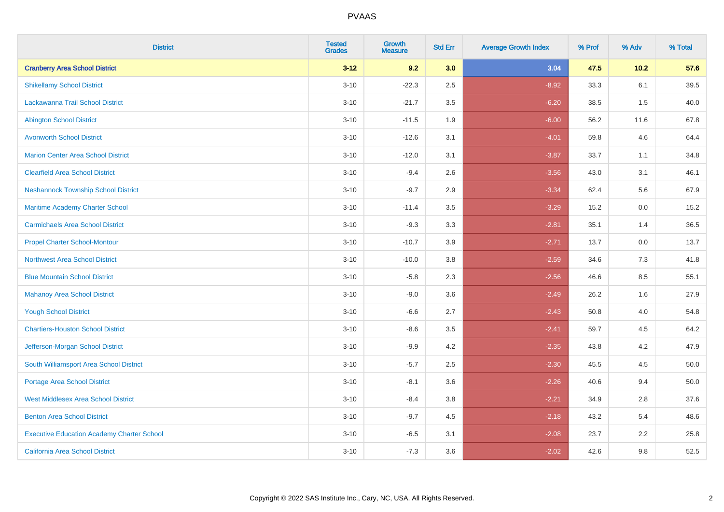| <b>District</b>                                   | <b>Tested</b><br><b>Grades</b> | <b>Growth</b><br><b>Measure</b> | <b>Std Err</b> | <b>Average Growth Index</b> | % Prof | % Adv   | % Total |
|---------------------------------------------------|--------------------------------|---------------------------------|----------------|-----------------------------|--------|---------|---------|
| <b>Cranberry Area School District</b>             | $3 - 12$                       | 9.2                             | 3.0            | 3.04                        | 47.5   | 10.2    | 57.6    |
| <b>Shikellamy School District</b>                 | $3 - 10$                       | $-22.3$                         | 2.5            | $-8.92$                     | 33.3   | 6.1     | 39.5    |
| Lackawanna Trail School District                  | $3 - 10$                       | $-21.7$                         | 3.5            | $-6.20$                     | 38.5   | 1.5     | 40.0    |
| <b>Abington School District</b>                   | $3 - 10$                       | $-11.5$                         | 1.9            | $-6.00$                     | 56.2   | 11.6    | 67.8    |
| <b>Avonworth School District</b>                  | $3 - 10$                       | $-12.6$                         | 3.1            | $-4.01$                     | 59.8   | 4.6     | 64.4    |
| <b>Marion Center Area School District</b>         | $3 - 10$                       | $-12.0$                         | 3.1            | $-3.87$                     | 33.7   | 1.1     | 34.8    |
| <b>Clearfield Area School District</b>            | $3 - 10$                       | $-9.4$                          | 2.6            | $-3.56$                     | 43.0   | 3.1     | 46.1    |
| <b>Neshannock Township School District</b>        | $3 - 10$                       | $-9.7$                          | 2.9            | $-3.34$                     | 62.4   | 5.6     | 67.9    |
| Maritime Academy Charter School                   | $3 - 10$                       | $-11.4$                         | 3.5            | $-3.29$                     | 15.2   | 0.0     | 15.2    |
| <b>Carmichaels Area School District</b>           | $3 - 10$                       | $-9.3$                          | 3.3            | $-2.81$                     | 35.1   | 1.4     | 36.5    |
| <b>Propel Charter School-Montour</b>              | $3 - 10$                       | $-10.7$                         | 3.9            | $-2.71$                     | 13.7   | 0.0     | 13.7    |
| <b>Northwest Area School District</b>             | $3 - 10$                       | $-10.0$                         | 3.8            | $-2.59$                     | 34.6   | 7.3     | 41.8    |
| <b>Blue Mountain School District</b>              | $3 - 10$                       | $-5.8$                          | 2.3            | $-2.56$                     | 46.6   | $8.5\,$ | 55.1    |
| <b>Mahanoy Area School District</b>               | $3 - 10$                       | $-9.0$                          | 3.6            | $-2.49$                     | 26.2   | 1.6     | 27.9    |
| <b>Yough School District</b>                      | $3 - 10$                       | $-6.6$                          | 2.7            | $-2.43$                     | 50.8   | 4.0     | 54.8    |
| <b>Chartiers-Houston School District</b>          | $3 - 10$                       | $-8.6$                          | 3.5            | $-2.41$                     | 59.7   | 4.5     | 64.2    |
| Jefferson-Morgan School District                  | $3 - 10$                       | $-9.9$                          | 4.2            | $-2.35$                     | 43.8   | 4.2     | 47.9    |
| South Williamsport Area School District           | $3 - 10$                       | $-5.7$                          | 2.5            | $-2.30$                     | 45.5   | 4.5     | 50.0    |
| Portage Area School District                      | $3 - 10$                       | $-8.1$                          | 3.6            | $-2.26$                     | 40.6   | 9.4     | 50.0    |
| <b>West Middlesex Area School District</b>        | $3 - 10$                       | $-8.4$                          | 3.8            | $-2.21$                     | 34.9   | 2.8     | 37.6    |
| <b>Benton Area School District</b>                | $3 - 10$                       | $-9.7$                          | 4.5            | $-2.18$                     | 43.2   | 5.4     | 48.6    |
| <b>Executive Education Academy Charter School</b> | $3 - 10$                       | $-6.5$                          | 3.1            | $-2.08$                     | 23.7   | 2.2     | 25.8    |
| <b>California Area School District</b>            | $3 - 10$                       | $-7.3$                          | 3.6            | $-2.02$                     | 42.6   | 9.8     | 52.5    |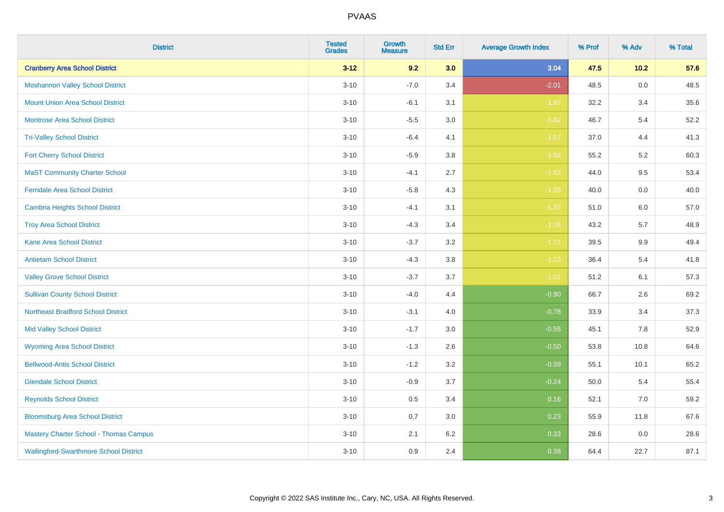| <b>District</b>                               | <b>Tested</b><br><b>Grades</b> | <b>Growth</b><br><b>Measure</b> | <b>Std Err</b> | <b>Average Growth Index</b> | % Prof | % Adv   | % Total |
|-----------------------------------------------|--------------------------------|---------------------------------|----------------|-----------------------------|--------|---------|---------|
| <b>Cranberry Area School District</b>         | $3 - 12$                       | 9.2                             | 3.0            | 3.04                        | 47.5   | $10.2$  | 57.6    |
| <b>Moshannon Valley School District</b>       | $3 - 10$                       | $-7.0$                          | 3.4            | $-2.01$                     | 48.5   | $0.0\,$ | 48.5    |
| <b>Mount Union Area School District</b>       | $3 - 10$                       | $-6.1$                          | 3.1            | $-1.97$                     | 32.2   | 3.4     | 35.6    |
| <b>Montrose Area School District</b>          | $3 - 10$                       | $-5.5$                          | $3.0\,$        | $-1.82$                     | 46.7   | 5.4     | 52.2    |
| <b>Tri-Valley School District</b>             | $3 - 10$                       | $-6.4$                          | 4.1            | $-1.57$                     | 37.0   | 4.4     | 41.3    |
| <b>Fort Cherry School District</b>            | $3 - 10$                       | $-5.9$                          | 3.8            | $-1.56$                     | 55.2   | $5.2\,$ | 60.3    |
| <b>MaST Community Charter School</b>          | $3 - 10$                       | $-4.1$                          | 2.7            | $-1.52$                     | 44.0   | 9.5     | 53.4    |
| <b>Ferndale Area School District</b>          | $3 - 10$                       | $-5.8$                          | 4.3            | $-1.33$                     | 40.0   | 0.0     | 40.0    |
| <b>Cambria Heights School District</b>        | $3 - 10$                       | $-4.1$                          | 3.1            | $-1.32$                     | 51.0   | 6.0     | 57.0    |
| <b>Troy Area School District</b>              | $3 - 10$                       | $-4.3$                          | 3.4            | $-1.26$                     | 43.2   | 5.7     | 48.9    |
| <b>Kane Area School District</b>              | $3 - 10$                       | $-3.7$                          | 3.2            | $-1.17$                     | 39.5   | 9.9     | 49.4    |
| <b>Antietam School District</b>               | $3 - 10$                       | $-4.3$                          | 3.8            | $-1.13$                     | 36.4   | 5.4     | 41.8    |
| <b>Valley Grove School District</b>           | $3 - 10$                       | $-3.7$                          | 3.7            | $-1.01$                     | 51.2   | 6.1     | 57.3    |
| <b>Sullivan County School District</b>        | $3 - 10$                       | $-4.0$                          | 4.4            | $-0.90$                     | 66.7   | 2.6     | 69.2    |
| <b>Northeast Bradford School District</b>     | $3 - 10$                       | $-3.1$                          | 4.0            | $-0.78$                     | 33.9   | 3.4     | 37.3    |
| <b>Mid Valley School District</b>             | $3 - 10$                       | $-1.7$                          | 3.0            | $-0.55$                     | 45.1   | 7.8     | 52.9    |
| <b>Wyoming Area School District</b>           | $3 - 10$                       | $-1.3$                          | 2.6            | $-0.50$                     | 53.8   | 10.8    | 64.6    |
| <b>Bellwood-Antis School District</b>         | $3 - 10$                       | $-1.2$                          | 3.2            | $-0.39$                     | 55.1   | 10.1    | 65.2    |
| <b>Glendale School District</b>               | $3 - 10$                       | $-0.9$                          | 3.7            | $-0.24$                     | 50.0   | 5.4     | 55.4    |
| <b>Reynolds School District</b>               | $3 - 10$                       | 0.5                             | 3.4            | 0.16                        | 52.1   | 7.0     | 59.2    |
| <b>Bloomsburg Area School District</b>        | $3 - 10$                       | 0.7                             | 3.0            | 0.23                        | 55.9   | 11.8    | 67.6    |
| <b>Mastery Charter School - Thomas Campus</b> | $3 - 10$                       | 2.1                             | 6.2            | 0.33                        | 28.6   | 0.0     | 28.6    |
| <b>Wallingford-Swarthmore School District</b> | $3 - 10$                       | 0.9                             | 2.4            | 0.38                        | 64.4   | 22.7    | 87.1    |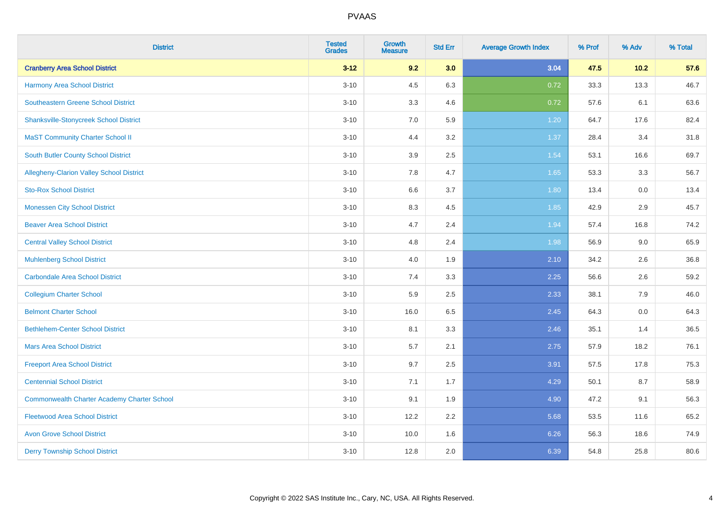| <b>District</b>                                    | <b>Tested</b><br><b>Grades</b> | <b>Growth</b><br><b>Measure</b> | <b>Std Err</b> | <b>Average Growth Index</b> | % Prof | % Adv | % Total |
|----------------------------------------------------|--------------------------------|---------------------------------|----------------|-----------------------------|--------|-------|---------|
| <b>Cranberry Area School District</b>              | $3 - 12$                       | 9.2                             | 3.0            | 3.04                        | 47.5   | 10.2  | 57.6    |
| Harmony Area School District                       | $3 - 10$                       | 4.5                             | 6.3            | 0.72                        | 33.3   | 13.3  | 46.7    |
| <b>Southeastern Greene School District</b>         | $3 - 10$                       | 3.3                             | 4.6            | 0.72                        | 57.6   | 6.1   | 63.6    |
| <b>Shanksville-Stonycreek School District</b>      | $3 - 10$                       | 7.0                             | 5.9            | 1.20                        | 64.7   | 17.6  | 82.4    |
| <b>MaST Community Charter School II</b>            | $3 - 10$                       | 4.4                             | 3.2            | 1.37                        | 28.4   | 3.4   | 31.8    |
| South Butler County School District                | $3 - 10$                       | 3.9                             | 2.5            | 1.54                        | 53.1   | 16.6  | 69.7    |
| Allegheny-Clarion Valley School District           | $3 - 10$                       | 7.8                             | 4.7            | 1.65                        | 53.3   | 3.3   | 56.7    |
| <b>Sto-Rox School District</b>                     | $3 - 10$                       | 6.6                             | 3.7            | 1.80                        | 13.4   | 0.0   | 13.4    |
| <b>Monessen City School District</b>               | $3 - 10$                       | 8.3                             | 4.5            | 1.85                        | 42.9   | 2.9   | 45.7    |
| <b>Beaver Area School District</b>                 | $3 - 10$                       | 4.7                             | 2.4            | 1.94                        | 57.4   | 16.8  | 74.2    |
| <b>Central Valley School District</b>              | $3 - 10$                       | 4.8                             | 2.4            | 1.98                        | 56.9   | 9.0   | 65.9    |
| <b>Muhlenberg School District</b>                  | $3 - 10$                       | 4.0                             | 1.9            | 2.10                        | 34.2   | 2.6   | 36.8    |
| <b>Carbondale Area School District</b>             | $3 - 10$                       | $7.4$                           | 3.3            | 2.25                        | 56.6   | 2.6   | 59.2    |
| <b>Collegium Charter School</b>                    | $3 - 10$                       | 5.9                             | 2.5            | 2.33                        | 38.1   | 7.9   | 46.0    |
| <b>Belmont Charter School</b>                      | $3 - 10$                       | 16.0                            | 6.5            | 2.45                        | 64.3   | 0.0   | 64.3    |
| <b>Bethlehem-Center School District</b>            | $3 - 10$                       | 8.1                             | 3.3            | 2.46                        | 35.1   | 1.4   | 36.5    |
| <b>Mars Area School District</b>                   | $3 - 10$                       | 5.7                             | 2.1            | 2.75                        | 57.9   | 18.2  | 76.1    |
| <b>Freeport Area School District</b>               | $3 - 10$                       | 9.7                             | 2.5            | 3.91                        | 57.5   | 17.8  | 75.3    |
| <b>Centennial School District</b>                  | $3 - 10$                       | 7.1                             | 1.7            | 4.29                        | 50.1   | 8.7   | 58.9    |
| <b>Commonwealth Charter Academy Charter School</b> | $3 - 10$                       | 9.1                             | 1.9            | 4.90                        | 47.2   | 9.1   | 56.3    |
| <b>Fleetwood Area School District</b>              | $3 - 10$                       | 12.2                            | 2.2            | 5.68                        | 53.5   | 11.6  | 65.2    |
| <b>Avon Grove School District</b>                  | $3 - 10$                       | 10.0                            | 1.6            | 6.26                        | 56.3   | 18.6  | 74.9    |
| <b>Derry Township School District</b>              | $3 - 10$                       | 12.8                            | 2.0            | 6.39                        | 54.8   | 25.8  | 80.6    |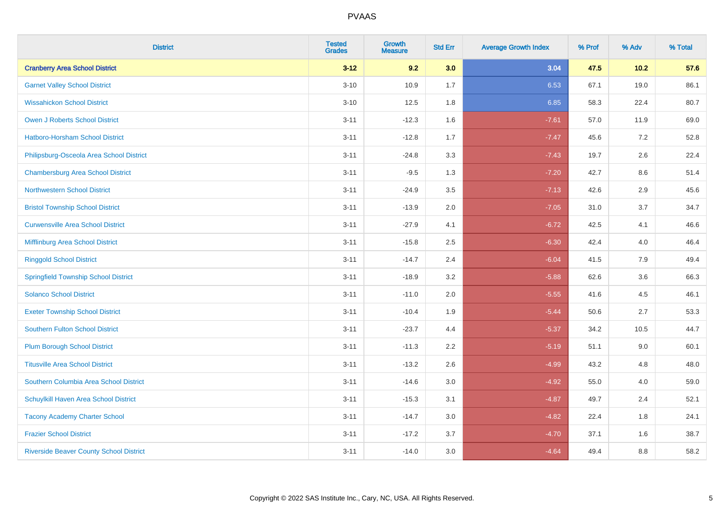| <b>District</b>                                | <b>Tested</b><br><b>Grades</b> | Growth<br><b>Measure</b> | <b>Std Err</b> | <b>Average Growth Index</b> | % Prof | % Adv   | % Total |
|------------------------------------------------|--------------------------------|--------------------------|----------------|-----------------------------|--------|---------|---------|
| <b>Cranberry Area School District</b>          | $3 - 12$                       | 9.2                      | 3.0            | 3.04                        | 47.5   | 10.2    | 57.6    |
| <b>Garnet Valley School District</b>           | $3 - 10$                       | 10.9                     | 1.7            | 6.53                        | 67.1   | 19.0    | 86.1    |
| <b>Wissahickon School District</b>             | $3 - 10$                       | 12.5                     | 1.8            | 6.85                        | 58.3   | 22.4    | 80.7    |
| <b>Owen J Roberts School District</b>          | $3 - 11$                       | $-12.3$                  | 1.6            | $-7.61$                     | 57.0   | 11.9    | 69.0    |
| Hatboro-Horsham School District                | $3 - 11$                       | $-12.8$                  | 1.7            | $-7.47$                     | 45.6   | 7.2     | 52.8    |
| Philipsburg-Osceola Area School District       | $3 - 11$                       | $-24.8$                  | 3.3            | $-7.43$                     | 19.7   | $2.6\,$ | 22.4    |
| <b>Chambersburg Area School District</b>       | $3 - 11$                       | $-9.5$                   | 1.3            | $-7.20$                     | 42.7   | 8.6     | 51.4    |
| <b>Northwestern School District</b>            | $3 - 11$                       | $-24.9$                  | 3.5            | $-7.13$                     | 42.6   | 2.9     | 45.6    |
| <b>Bristol Township School District</b>        | $3 - 11$                       | $-13.9$                  | 2.0            | $-7.05$                     | 31.0   | 3.7     | 34.7    |
| <b>Curwensville Area School District</b>       | $3 - 11$                       | $-27.9$                  | 4.1            | $-6.72$                     | 42.5   | 4.1     | 46.6    |
| Mifflinburg Area School District               | $3 - 11$                       | $-15.8$                  | 2.5            | $-6.30$                     | 42.4   | 4.0     | 46.4    |
| <b>Ringgold School District</b>                | $3 - 11$                       | $-14.7$                  | 2.4            | $-6.04$                     | 41.5   | 7.9     | 49.4    |
| <b>Springfield Township School District</b>    | $3 - 11$                       | $-18.9$                  | 3.2            | $-5.88$                     | 62.6   | 3.6     | 66.3    |
| <b>Solanco School District</b>                 | $3 - 11$                       | $-11.0$                  | 2.0            | $-5.55$                     | 41.6   | 4.5     | 46.1    |
| <b>Exeter Township School District</b>         | $3 - 11$                       | $-10.4$                  | 1.9            | $-5.44$                     | 50.6   | 2.7     | 53.3    |
| <b>Southern Fulton School District</b>         | $3 - 11$                       | $-23.7$                  | 4.4            | $-5.37$                     | 34.2   | 10.5    | 44.7    |
| <b>Plum Borough School District</b>            | $3 - 11$                       | $-11.3$                  | 2.2            | $-5.19$                     | 51.1   | 9.0     | 60.1    |
| <b>Titusville Area School District</b>         | $3 - 11$                       | $-13.2$                  | 2.6            | $-4.99$                     | 43.2   | 4.8     | 48.0    |
| Southern Columbia Area School District         | $3 - 11$                       | $-14.6$                  | 3.0            | $-4.92$                     | 55.0   | 4.0     | 59.0    |
| Schuylkill Haven Area School District          | $3 - 11$                       | $-15.3$                  | 3.1            | $-4.87$                     | 49.7   | 2.4     | 52.1    |
| <b>Tacony Academy Charter School</b>           | $3 - 11$                       | $-14.7$                  | 3.0            | $-4.82$                     | 22.4   | $1.8\,$ | 24.1    |
| <b>Frazier School District</b>                 | $3 - 11$                       | $-17.2$                  | 3.7            | $-4.70$                     | 37.1   | 1.6     | 38.7    |
| <b>Riverside Beaver County School District</b> | $3 - 11$                       | $-14.0$                  | 3.0            | $-4.64$                     | 49.4   | 8.8     | 58.2    |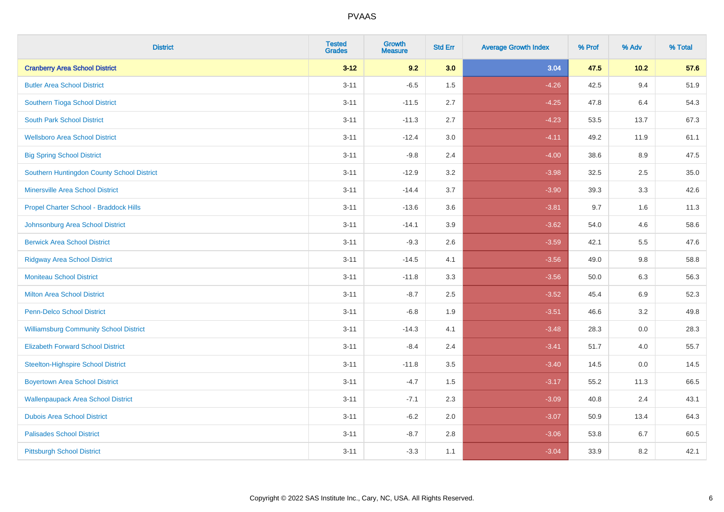| <b>District</b>                               | <b>Tested</b><br><b>Grades</b> | <b>Growth</b><br><b>Measure</b> | <b>Std Err</b> | <b>Average Growth Index</b> | % Prof | % Adv   | % Total |
|-----------------------------------------------|--------------------------------|---------------------------------|----------------|-----------------------------|--------|---------|---------|
| <b>Cranberry Area School District</b>         | $3 - 12$                       | 9.2                             | 3.0            | 3.04                        | 47.5   | $10.2$  | 57.6    |
| <b>Butler Area School District</b>            | $3 - 11$                       | $-6.5$                          | 1.5            | $-4.26$                     | 42.5   | 9.4     | 51.9    |
| Southern Tioga School District                | $3 - 11$                       | $-11.5$                         | 2.7            | $-4.25$                     | 47.8   | 6.4     | 54.3    |
| <b>South Park School District</b>             | $3 - 11$                       | $-11.3$                         | 2.7            | $-4.23$                     | 53.5   | 13.7    | 67.3    |
| <b>Wellsboro Area School District</b>         | $3 - 11$                       | $-12.4$                         | 3.0            | $-4.11$                     | 49.2   | 11.9    | 61.1    |
| <b>Big Spring School District</b>             | $3 - 11$                       | $-9.8$                          | 2.4            | $-4.00$                     | 38.6   | 8.9     | 47.5    |
| Southern Huntingdon County School District    | $3 - 11$                       | $-12.9$                         | 3.2            | $-3.98$                     | 32.5   | 2.5     | 35.0    |
| <b>Minersville Area School District</b>       | $3 - 11$                       | $-14.4$                         | 3.7            | $-3.90$                     | 39.3   | 3.3     | 42.6    |
| Propel Charter School - Braddock Hills        | $3 - 11$                       | $-13.6$                         | 3.6            | $-3.81$                     | 9.7    | 1.6     | 11.3    |
| Johnsonburg Area School District              | $3 - 11$                       | $-14.1$                         | 3.9            | $-3.62$                     | 54.0   | 4.6     | 58.6    |
| <b>Berwick Area School District</b>           | $3 - 11$                       | $-9.3$                          | 2.6            | $-3.59$                     | 42.1   | 5.5     | 47.6    |
| <b>Ridgway Area School District</b>           | $3 - 11$                       | $-14.5$                         | 4.1            | $-3.56$                     | 49.0   | 9.8     | 58.8    |
| <b>Moniteau School District</b>               | $3 - 11$                       | $-11.8$                         | 3.3            | $-3.56$                     | 50.0   | $6.3\,$ | 56.3    |
| <b>Milton Area School District</b>            | $3 - 11$                       | $-8.7$                          | 2.5            | $-3.52$                     | 45.4   | 6.9     | 52.3    |
| <b>Penn-Delco School District</b>             | $3 - 11$                       | $-6.8$                          | 1.9            | $-3.51$                     | 46.6   | 3.2     | 49.8    |
| <b>Williamsburg Community School District</b> | $3 - 11$                       | $-14.3$                         | 4.1            | $-3.48$                     | 28.3   | $0.0\,$ | 28.3    |
| <b>Elizabeth Forward School District</b>      | $3 - 11$                       | $-8.4$                          | 2.4            | $-3.41$                     | 51.7   | 4.0     | 55.7    |
| <b>Steelton-Highspire School District</b>     | $3 - 11$                       | $-11.8$                         | 3.5            | $-3.40$                     | 14.5   | 0.0     | 14.5    |
| <b>Boyertown Area School District</b>         | $3 - 11$                       | $-4.7$                          | 1.5            | $-3.17$                     | 55.2   | 11.3    | 66.5    |
| <b>Wallenpaupack Area School District</b>     | $3 - 11$                       | $-7.1$                          | 2.3            | $-3.09$                     | 40.8   | 2.4     | 43.1    |
| <b>Dubois Area School District</b>            | $3 - 11$                       | $-6.2$                          | 2.0            | $-3.07$                     | 50.9   | 13.4    | 64.3    |
| <b>Palisades School District</b>              | $3 - 11$                       | $-8.7$                          | $2.8\,$        | $-3.06$                     | 53.8   | 6.7     | 60.5    |
| <b>Pittsburgh School District</b>             | $3 - 11$                       | $-3.3$                          | 1.1            | $-3.04$                     | 33.9   | 8.2     | 42.1    |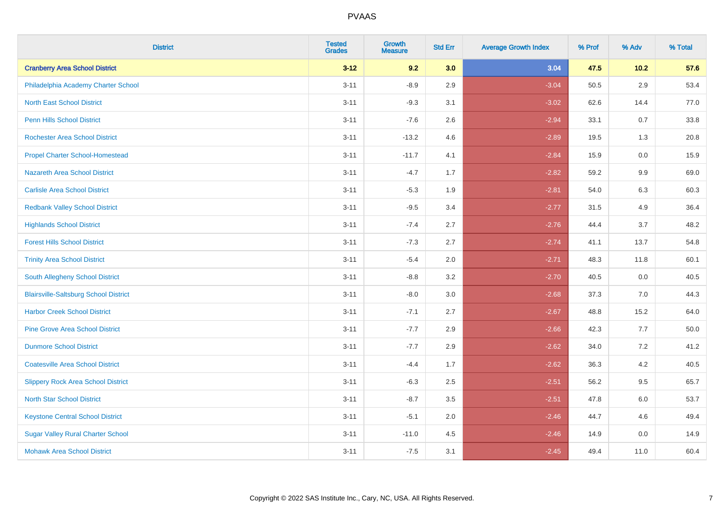| <b>District</b>                              | <b>Tested</b><br><b>Grades</b> | <b>Growth</b><br><b>Measure</b> | <b>Std Err</b> | <b>Average Growth Index</b> | % Prof | % Adv   | % Total |
|----------------------------------------------|--------------------------------|---------------------------------|----------------|-----------------------------|--------|---------|---------|
| <b>Cranberry Area School District</b>        | $3 - 12$                       | 9.2                             | 3.0            | 3.04                        | 47.5   | $10.2$  | 57.6    |
| Philadelphia Academy Charter School          | $3 - 11$                       | $-8.9$                          | 2.9            | $-3.04$                     | 50.5   | 2.9     | 53.4    |
| <b>North East School District</b>            | $3 - 11$                       | $-9.3$                          | 3.1            | $-3.02$                     | 62.6   | 14.4    | 77.0    |
| <b>Penn Hills School District</b>            | $3 - 11$                       | $-7.6$                          | 2.6            | $-2.94$                     | 33.1   | 0.7     | 33.8    |
| <b>Rochester Area School District</b>        | $3 - 11$                       | $-13.2$                         | 4.6            | $-2.89$                     | 19.5   | 1.3     | 20.8    |
| <b>Propel Charter School-Homestead</b>       | $3 - 11$                       | $-11.7$                         | 4.1            | $-2.84$                     | 15.9   | 0.0     | 15.9    |
| <b>Nazareth Area School District</b>         | $3 - 11$                       | $-4.7$                          | 1.7            | $-2.82$                     | 59.2   | 9.9     | 69.0    |
| <b>Carlisle Area School District</b>         | $3 - 11$                       | $-5.3$                          | 1.9            | $-2.81$                     | 54.0   | 6.3     | 60.3    |
| <b>Redbank Valley School District</b>        | $3 - 11$                       | $-9.5$                          | 3.4            | $-2.77$                     | 31.5   | 4.9     | 36.4    |
| <b>Highlands School District</b>             | $3 - 11$                       | $-7.4$                          | 2.7            | $-2.76$                     | 44.4   | 3.7     | 48.2    |
| <b>Forest Hills School District</b>          | $3 - 11$                       | $-7.3$                          | 2.7            | $-2.74$                     | 41.1   | 13.7    | 54.8    |
| <b>Trinity Area School District</b>          | $3 - 11$                       | $-5.4$                          | 2.0            | $-2.71$                     | 48.3   | 11.8    | 60.1    |
| South Allegheny School District              | $3 - 11$                       | $-8.8$                          | 3.2            | $-2.70$                     | 40.5   | $0.0\,$ | 40.5    |
| <b>Blairsville-Saltsburg School District</b> | $3 - 11$                       | $-8.0$                          | 3.0            | $-2.68$                     | 37.3   | 7.0     | 44.3    |
| <b>Harbor Creek School District</b>          | $3 - 11$                       | $-7.1$                          | 2.7            | $-2.67$                     | 48.8   | 15.2    | 64.0    |
| <b>Pine Grove Area School District</b>       | $3 - 11$                       | $-7.7$                          | 2.9            | $-2.66$                     | 42.3   | $7.7$   | 50.0    |
| <b>Dunmore School District</b>               | $3 - 11$                       | $-7.7$                          | 2.9            | $-2.62$                     | 34.0   | $7.2\,$ | 41.2    |
| <b>Coatesville Area School District</b>      | $3 - 11$                       | $-4.4$                          | 1.7            | $-2.62$                     | 36.3   | 4.2     | 40.5    |
| <b>Slippery Rock Area School District</b>    | $3 - 11$                       | $-6.3$                          | 2.5            | $-2.51$                     | 56.2   | 9.5     | 65.7    |
| <b>North Star School District</b>            | $3 - 11$                       | $-8.7$                          | 3.5            | $-2.51$                     | 47.8   | $6.0\,$ | 53.7    |
| <b>Keystone Central School District</b>      | $3 - 11$                       | $-5.1$                          | 2.0            | $-2.46$                     | 44.7   | 4.6     | 49.4    |
| <b>Sugar Valley Rural Charter School</b>     | $3 - 11$                       | $-11.0$                         | 4.5            | $-2.46$                     | 14.9   | 0.0     | 14.9    |
| <b>Mohawk Area School District</b>           | $3 - 11$                       | $-7.5$                          | 3.1            | $-2.45$                     | 49.4   | 11.0    | 60.4    |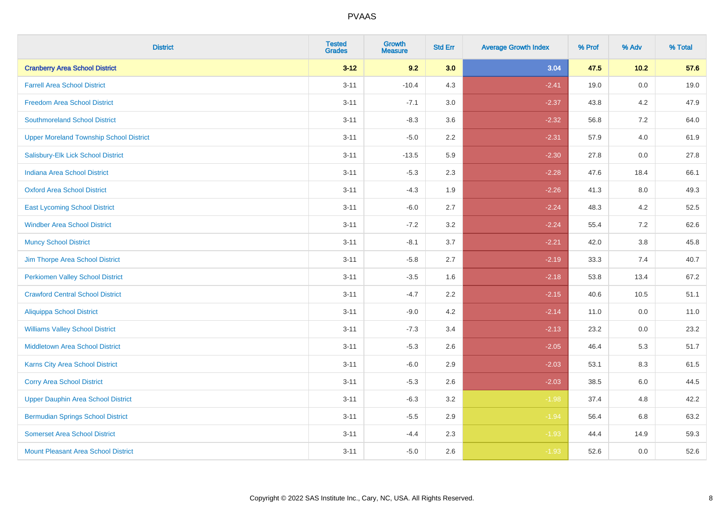| <b>District</b>                                | <b>Tested</b><br><b>Grades</b> | <b>Growth</b><br><b>Measure</b> | <b>Std Err</b> | <b>Average Growth Index</b> | % Prof | % Adv   | % Total |
|------------------------------------------------|--------------------------------|---------------------------------|----------------|-----------------------------|--------|---------|---------|
| <b>Cranberry Area School District</b>          | $3 - 12$                       | 9.2                             | 3.0            | 3.04                        | 47.5   | $10.2$  | 57.6    |
| <b>Farrell Area School District</b>            | $3 - 11$                       | $-10.4$                         | 4.3            | $-2.41$                     | 19.0   | $0.0\,$ | 19.0    |
| <b>Freedom Area School District</b>            | $3 - 11$                       | $-7.1$                          | 3.0            | $-2.37$                     | 43.8   | 4.2     | 47.9    |
| <b>Southmoreland School District</b>           | $3 - 11$                       | $-8.3$                          | 3.6            | $-2.32$                     | 56.8   | 7.2     | 64.0    |
| <b>Upper Moreland Township School District</b> | $3 - 11$                       | $-5.0$                          | 2.2            | $-2.31$                     | 57.9   | 4.0     | 61.9    |
| Salisbury-Elk Lick School District             | $3 - 11$                       | $-13.5$                         | 5.9            | $-2.30$                     | 27.8   | 0.0     | 27.8    |
| <b>Indiana Area School District</b>            | $3 - 11$                       | $-5.3$                          | 2.3            | $-2.28$                     | 47.6   | 18.4    | 66.1    |
| <b>Oxford Area School District</b>             | $3 - 11$                       | $-4.3$                          | 1.9            | $-2.26$                     | 41.3   | 8.0     | 49.3    |
| <b>East Lycoming School District</b>           | $3 - 11$                       | $-6.0$                          | 2.7            | $-2.24$                     | 48.3   | 4.2     | 52.5    |
| <b>Windber Area School District</b>            | $3 - 11$                       | $-7.2$                          | 3.2            | $-2.24$                     | 55.4   | 7.2     | 62.6    |
| <b>Muncy School District</b>                   | $3 - 11$                       | $-8.1$                          | 3.7            | $-2.21$                     | 42.0   | 3.8     | 45.8    |
| Jim Thorpe Area School District                | $3 - 11$                       | $-5.8$                          | 2.7            | $-2.19$                     | 33.3   | 7.4     | 40.7    |
| <b>Perkiomen Valley School District</b>        | $3 - 11$                       | $-3.5$                          | 1.6            | $-2.18$                     | 53.8   | 13.4    | 67.2    |
| <b>Crawford Central School District</b>        | $3 - 11$                       | $-4.7$                          | 2.2            | $-2.15$                     | 40.6   | 10.5    | 51.1    |
| <b>Aliquippa School District</b>               | $3 - 11$                       | $-9.0$                          | 4.2            | $-2.14$                     | 11.0   | 0.0     | 11.0    |
| <b>Williams Valley School District</b>         | $3 - 11$                       | $-7.3$                          | 3.4            | $-2.13$                     | 23.2   | $0.0\,$ | 23.2    |
| <b>Middletown Area School District</b>         | $3 - 11$                       | $-5.3$                          | 2.6            | $-2.05$                     | 46.4   | 5.3     | 51.7    |
| <b>Karns City Area School District</b>         | $3 - 11$                       | $-6.0$                          | 2.9            | $-2.03$                     | 53.1   | 8.3     | 61.5    |
| <b>Corry Area School District</b>              | $3 - 11$                       | $-5.3$                          | 2.6            | $-2.03$                     | 38.5   | 6.0     | 44.5    |
| <b>Upper Dauphin Area School District</b>      | $3 - 11$                       | $-6.3$                          | 3.2            | $-1.98$                     | 37.4   | 4.8     | 42.2    |
| <b>Bermudian Springs School District</b>       | $3 - 11$                       | $-5.5$                          | 2.9            | $-1.94$                     | 56.4   | 6.8     | 63.2    |
| <b>Somerset Area School District</b>           | $3 - 11$                       | $-4.4$                          | 2.3            | $-1.93$                     | 44.4   | 14.9    | 59.3    |
| <b>Mount Pleasant Area School District</b>     | $3 - 11$                       | $-5.0$                          | 2.6            | $-1.93$                     | 52.6   | 0.0     | 52.6    |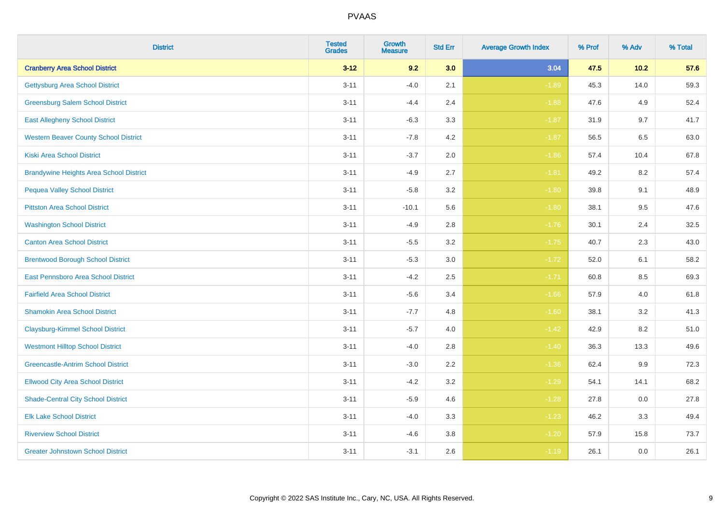| <b>District</b>                                | <b>Tested</b><br><b>Grades</b> | <b>Growth</b><br><b>Measure</b> | <b>Std Err</b> | <b>Average Growth Index</b> | % Prof | % Adv   | % Total |
|------------------------------------------------|--------------------------------|---------------------------------|----------------|-----------------------------|--------|---------|---------|
| <b>Cranberry Area School District</b>          | $3 - 12$                       | 9.2                             | 3.0            | 3.04                        | 47.5   | $10.2$  | 57.6    |
| <b>Gettysburg Area School District</b>         | $3 - 11$                       | $-4.0$                          | 2.1            | $-1.89$                     | 45.3   | 14.0    | 59.3    |
| <b>Greensburg Salem School District</b>        | $3 - 11$                       | $-4.4$                          | 2.4            | $-1.88$                     | 47.6   | 4.9     | 52.4    |
| <b>East Allegheny School District</b>          | $3 - 11$                       | $-6.3$                          | 3.3            | $-1.87$                     | 31.9   | 9.7     | 41.7    |
| <b>Western Beaver County School District</b>   | $3 - 11$                       | $-7.8$                          | 4.2            | $-1.87$                     | 56.5   | 6.5     | 63.0    |
| <b>Kiski Area School District</b>              | $3 - 11$                       | $-3.7$                          | 2.0            | $-1.86$                     | 57.4   | 10.4    | 67.8    |
| <b>Brandywine Heights Area School District</b> | $3 - 11$                       | $-4.9$                          | 2.7            | $-1.81$                     | 49.2   | 8.2     | 57.4    |
| <b>Pequea Valley School District</b>           | $3 - 11$                       | $-5.8$                          | 3.2            | $-1.80$                     | 39.8   | 9.1     | 48.9    |
| <b>Pittston Area School District</b>           | $3 - 11$                       | $-10.1$                         | 5.6            | $-1.80$                     | 38.1   | 9.5     | 47.6    |
| <b>Washington School District</b>              | $3 - 11$                       | $-4.9$                          | 2.8            | $-1.76$                     | 30.1   | 2.4     | 32.5    |
| <b>Canton Area School District</b>             | $3 - 11$                       | $-5.5$                          | 3.2            | $-1.75$                     | 40.7   | 2.3     | 43.0    |
| <b>Brentwood Borough School District</b>       | $3 - 11$                       | $-5.3$                          | 3.0            | $-1.72$                     | 52.0   | 6.1     | 58.2    |
| East Pennsboro Area School District            | $3 - 11$                       | $-4.2$                          | 2.5            | $-1.71$                     | 60.8   | $8.5\,$ | 69.3    |
| <b>Fairfield Area School District</b>          | $3 - 11$                       | $-5.6$                          | 3.4            | $-1.66$                     | 57.9   | 4.0     | 61.8    |
| <b>Shamokin Area School District</b>           | $3 - 11$                       | $-7.7$                          | 4.8            | $-1.60$                     | 38.1   | 3.2     | 41.3    |
| <b>Claysburg-Kimmel School District</b>        | $3 - 11$                       | $-5.7$                          | 4.0            | $-1.42$                     | 42.9   | 8.2     | 51.0    |
| <b>Westmont Hilltop School District</b>        | $3 - 11$                       | $-4.0$                          | 2.8            | $-1.40$                     | 36.3   | 13.3    | 49.6    |
| <b>Greencastle-Antrim School District</b>      | $3 - 11$                       | $-3.0$                          | 2.2            | $-1.36$                     | 62.4   | 9.9     | 72.3    |
| <b>Ellwood City Area School District</b>       | $3 - 11$                       | $-4.2$                          | 3.2            | $-1.29$                     | 54.1   | 14.1    | 68.2    |
| <b>Shade-Central City School District</b>      | $3 - 11$                       | $-5.9$                          | 4.6            | $-1.28$                     | 27.8   | 0.0     | 27.8    |
| <b>Elk Lake School District</b>                | $3 - 11$                       | $-4.0$                          | 3.3            | $-1.23$                     | 46.2   | 3.3     | 49.4    |
| <b>Riverview School District</b>               | $3 - 11$                       | $-4.6$                          | $3.8\,$        | $-1.20$                     | 57.9   | 15.8    | 73.7    |
| <b>Greater Johnstown School District</b>       | $3 - 11$                       | $-3.1$                          | 2.6            | $-1.19$                     | 26.1   | 0.0     | 26.1    |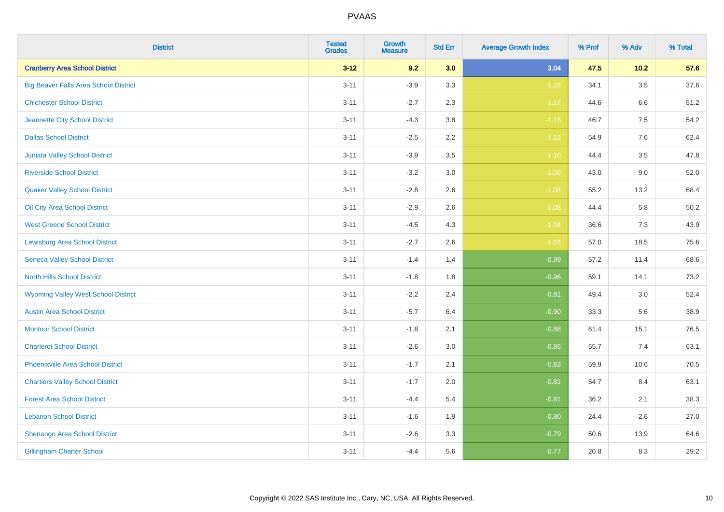| <b>District</b>                              | <b>Tested</b><br><b>Grades</b> | <b>Growth</b><br><b>Measure</b> | <b>Std Err</b> | <b>Average Growth Index</b> | % Prof | % Adv   | % Total  |
|----------------------------------------------|--------------------------------|---------------------------------|----------------|-----------------------------|--------|---------|----------|
| <b>Cranberry Area School District</b>        | $3 - 12$                       | 9.2                             | 3.0            | 3.04                        | 47.5   | $10.2$  | 57.6     |
| <b>Big Beaver Falls Area School District</b> | $3 - 11$                       | $-3.9$                          | 3.3            | $-1.18$                     | 34.1   | 3.5     | 37.6     |
| <b>Chichester School District</b>            | $3 - 11$                       | $-2.7$                          | 2.3            | $-1.17$                     | 44.6   | 6.6     | 51.2     |
| Jeannette City School District               | $3 - 11$                       | $-4.3$                          | $3.8\,$        | $-1.13$                     | 46.7   | $7.5\,$ | 54.2     |
| <b>Dallas School District</b>                | $3 - 11$                       | $-2.5$                          | 2.2            | $-1.12$                     | 54.9   | 7.6     | 62.4     |
| <b>Juniata Valley School District</b>        | $3 - 11$                       | $-3.9$                          | 3.5            | $-1.10$                     | 44.4   | 3.5     | 47.8     |
| <b>Riverside School District</b>             | $3 - 11$                       | $-3.2$                          | $3.0\,$        | $-1.09$                     | 43.0   | $9.0\,$ | 52.0     |
| <b>Quaker Valley School District</b>         | $3 - 11$                       | $-2.8$                          | 2.6            | $-1.08$                     | 55.2   | 13.2    | 68.4     |
| Oil City Area School District                | $3 - 11$                       | $-2.9$                          | 2.6            | $-1.08$                     | 44.4   | 5.8     | $50.2\,$ |
| <b>West Greene School District</b>           | $3 - 11$                       | $-4.5$                          | 4.3            | $-1.04$                     | 36.6   | $7.3$   | 43.9     |
| <b>Lewisburg Area School District</b>        | $3 - 11$                       | $-2.7$                          | 2.6            | $-1.03$                     | 57.0   | 18.5    | 75.6     |
| <b>Seneca Valley School District</b>         | $3 - 11$                       | $-1.4$                          | 1.4            | $-0.99$                     | 57.2   | 11.4    | 68.6     |
| <b>North Hills School District</b>           | $3 - 11$                       | $-1.8$                          | 1.8            | $-0.96$                     | 59.1   | 14.1    | 73.2     |
| <b>Wyoming Valley West School District</b>   | $3 - 11$                       | $-2.2$                          | 2.4            | $-0.91$                     | 49.4   | $3.0\,$ | 52.4     |
| <b>Austin Area School District</b>           | $3 - 11$                       | $-5.7$                          | 6.4            | $-0.90$                     | 33.3   | 5.6     | 38.9     |
| <b>Montour School District</b>               | $3 - 11$                       | $-1.8$                          | 2.1            | $-0.88$                     | 61.4   | 15.1    | 76.5     |
| <b>Charleroi School District</b>             | $3 - 11$                       | $-2.6$                          | 3.0            | $-0.86$                     | 55.7   | 7.4     | 63.1     |
| Phoenixville Area School District            | $3 - 11$                       | $-1.7$                          | 2.1            | $-0.83$                     | 59.9   | 10.6    | 70.5     |
| <b>Chartiers Valley School District</b>      | $3 - 11$                       | $-1.7$                          | 2.0            | $-0.81$                     | 54.7   | 8.4     | 63.1     |
| <b>Forest Area School District</b>           | $3 - 11$                       | $-4.4$                          | 5.4            | $-0.81$                     | 36.2   | 2.1     | 38.3     |
| <b>Lebanon School District</b>               | $3 - 11$                       | $-1.6$                          | 1.9            | $-0.80$                     | 24.4   | 2.6     | 27.0     |
| Shenango Area School District                | $3 - 11$                       | $-2.6$                          | 3.3            | $-0.79$                     | 50.6   | 13.9    | 64.6     |
| <b>Gillingham Charter School</b>             | $3 - 11$                       | $-4.4$                          | 5.6            | $-0.77$                     | 20.8   | 8.3     | 29.2     |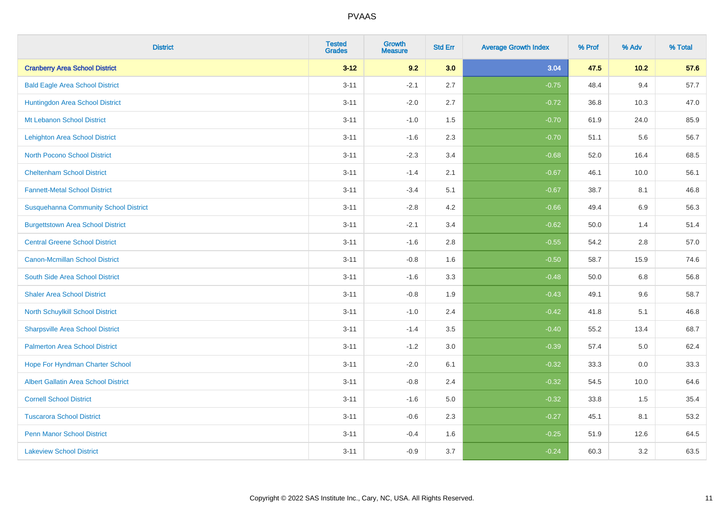| <b>District</b>                              | <b>Tested</b><br><b>Grades</b> | <b>Growth</b><br><b>Measure</b> | <b>Std Err</b> | <b>Average Growth Index</b> | % Prof | % Adv   | % Total |
|----------------------------------------------|--------------------------------|---------------------------------|----------------|-----------------------------|--------|---------|---------|
| <b>Cranberry Area School District</b>        | $3 - 12$                       | 9.2                             | 3.0            | 3.04                        | 47.5   | $10.2$  | 57.6    |
| <b>Bald Eagle Area School District</b>       | $3 - 11$                       | $-2.1$                          | 2.7            | $-0.75$                     | 48.4   | 9.4     | 57.7    |
| Huntingdon Area School District              | $3 - 11$                       | $-2.0$                          | 2.7            | $-0.72$                     | 36.8   | 10.3    | 47.0    |
| Mt Lebanon School District                   | $3 - 11$                       | $-1.0$                          | 1.5            | $-0.70$                     | 61.9   | 24.0    | 85.9    |
| <b>Lehighton Area School District</b>        | $3 - 11$                       | $-1.6$                          | 2.3            | $-0.70$                     | 51.1   | 5.6     | 56.7    |
| <b>North Pocono School District</b>          | $3 - 11$                       | $-2.3$                          | 3.4            | $-0.68$                     | 52.0   | 16.4    | 68.5    |
| <b>Cheltenham School District</b>            | $3 - 11$                       | $-1.4$                          | 2.1            | $-0.67$                     | 46.1   | 10.0    | 56.1    |
| <b>Fannett-Metal School District</b>         | $3 - 11$                       | $-3.4$                          | 5.1            | $-0.67$                     | 38.7   | 8.1     | 46.8    |
| <b>Susquehanna Community School District</b> | $3 - 11$                       | $-2.8$                          | 4.2            | $-0.66$                     | 49.4   | 6.9     | 56.3    |
| <b>Burgettstown Area School District</b>     | $3 - 11$                       | $-2.1$                          | 3.4            | $-0.62$                     | 50.0   | 1.4     | 51.4    |
| <b>Central Greene School District</b>        | $3 - 11$                       | $-1.6$                          | 2.8            | $-0.55$                     | 54.2   | 2.8     | 57.0    |
| <b>Canon-Mcmillan School District</b>        | $3 - 11$                       | $-0.8$                          | 1.6            | $-0.50$                     | 58.7   | 15.9    | 74.6    |
| South Side Area School District              | $3 - 11$                       | $-1.6$                          | 3.3            | $-0.48$                     | 50.0   | $6.8\,$ | 56.8    |
| <b>Shaler Area School District</b>           | $3 - 11$                       | $-0.8$                          | 1.9            | $-0.43$                     | 49.1   | 9.6     | 58.7    |
| North Schuylkill School District             | $3 - 11$                       | $-1.0$                          | 2.4            | $-0.42$                     | 41.8   | 5.1     | 46.8    |
| <b>Sharpsville Area School District</b>      | $3 - 11$                       | $-1.4$                          | 3.5            | $-0.40$                     | 55.2   | 13.4    | 68.7    |
| <b>Palmerton Area School District</b>        | $3 - 11$                       | $-1.2$                          | 3.0            | $-0.39$                     | 57.4   | 5.0     | 62.4    |
| Hope For Hyndman Charter School              | $3 - 11$                       | $-2.0$                          | 6.1            | $-0.32$                     | 33.3   | 0.0     | 33.3    |
| <b>Albert Gallatin Area School District</b>  | $3 - 11$                       | $-0.8$                          | 2.4            | $-0.32$                     | 54.5   | 10.0    | 64.6    |
| <b>Cornell School District</b>               | $3 - 11$                       | $-1.6$                          | 5.0            | $-0.32$                     | 33.8   | 1.5     | 35.4    |
| <b>Tuscarora School District</b>             | $3 - 11$                       | $-0.6$                          | 2.3            | $-0.27$                     | 45.1   | 8.1     | 53.2    |
| <b>Penn Manor School District</b>            | $3 - 11$                       | $-0.4$                          | 1.6            | $-0.25$                     | 51.9   | 12.6    | 64.5    |
| <b>Lakeview School District</b>              | $3 - 11$                       | $-0.9$                          | 3.7            | $-0.24$                     | 60.3   | 3.2     | 63.5    |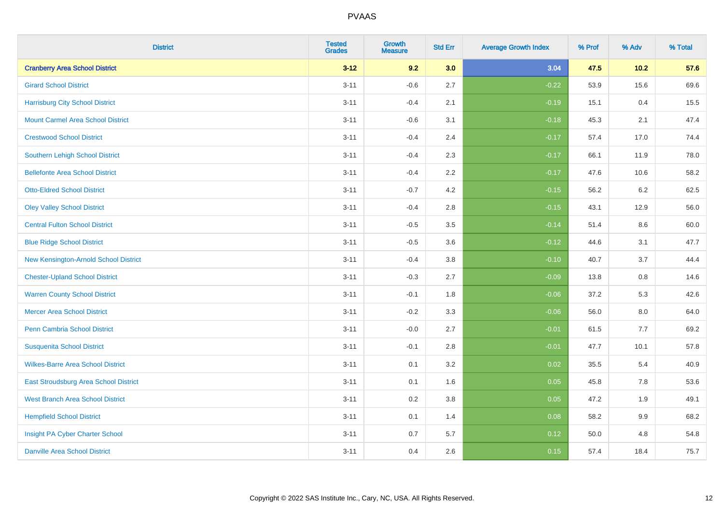| <b>District</b>                          | <b>Tested</b><br><b>Grades</b> | <b>Growth</b><br><b>Measure</b> | <b>Std Err</b> | <b>Average Growth Index</b> | % Prof | % Adv   | % Total |
|------------------------------------------|--------------------------------|---------------------------------|----------------|-----------------------------|--------|---------|---------|
| <b>Cranberry Area School District</b>    | $3 - 12$                       | 9.2                             | 3.0            | 3.04                        | 47.5   | 10.2    | 57.6    |
| <b>Girard School District</b>            | $3 - 11$                       | $-0.6$                          | 2.7            | $-0.22$                     | 53.9   | 15.6    | 69.6    |
| <b>Harrisburg City School District</b>   | $3 - 11$                       | $-0.4$                          | 2.1            | $-0.19$                     | 15.1   | 0.4     | 15.5    |
| <b>Mount Carmel Area School District</b> | $3 - 11$                       | $-0.6$                          | 3.1            | $-0.18$                     | 45.3   | 2.1     | 47.4    |
| <b>Crestwood School District</b>         | $3 - 11$                       | $-0.4$                          | 2.4            | $-0.17$                     | 57.4   | 17.0    | 74.4    |
| <b>Southern Lehigh School District</b>   | $3 - 11$                       | $-0.4$                          | 2.3            | $-0.17$                     | 66.1   | 11.9    | 78.0    |
| <b>Bellefonte Area School District</b>   | $3 - 11$                       | $-0.4$                          | 2.2            | $-0.17$                     | 47.6   | 10.6    | 58.2    |
| <b>Otto-Eldred School District</b>       | $3 - 11$                       | $-0.7$                          | 4.2            | $-0.15$                     | 56.2   | 6.2     | 62.5    |
| <b>Oley Valley School District</b>       | $3 - 11$                       | $-0.4$                          | 2.8            | $-0.15$                     | 43.1   | 12.9    | 56.0    |
| <b>Central Fulton School District</b>    | $3 - 11$                       | $-0.5$                          | 3.5            | $-0.14$                     | 51.4   | 8.6     | 60.0    |
| <b>Blue Ridge School District</b>        | $3 - 11$                       | $-0.5$                          | 3.6            | $-0.12$                     | 44.6   | 3.1     | 47.7    |
| New Kensington-Arnold School District    | $3 - 11$                       | $-0.4$                          | 3.8            | $-0.10$                     | 40.7   | 3.7     | 44.4    |
| <b>Chester-Upland School District</b>    | $3 - 11$                       | $-0.3$                          | 2.7            | $-0.09$                     | 13.8   | $0.8\,$ | 14.6    |
| <b>Warren County School District</b>     | $3 - 11$                       | $-0.1$                          | 1.8            | $-0.06$                     | 37.2   | 5.3     | 42.6    |
| <b>Mercer Area School District</b>       | $3 - 11$                       | $-0.2$                          | 3.3            | $-0.06$                     | 56.0   | $8.0\,$ | 64.0    |
| Penn Cambria School District             | $3 - 11$                       | $-0.0$                          | 2.7            | $-0.01$                     | 61.5   | 7.7     | 69.2    |
| <b>Susquenita School District</b>        | $3 - 11$                       | $-0.1$                          | 2.8            | $-0.01$                     | 47.7   | 10.1    | 57.8    |
| <b>Wilkes-Barre Area School District</b> | $3 - 11$                       | 0.1                             | 3.2            | 0.02                        | 35.5   | 5.4     | 40.9    |
| East Stroudsburg Area School District    | $3 - 11$                       | 0.1                             | 1.6            | 0.05                        | 45.8   | 7.8     | 53.6    |
| <b>West Branch Area School District</b>  | $3 - 11$                       | 0.2                             | 3.8            | 0.05                        | 47.2   | 1.9     | 49.1    |
| <b>Hempfield School District</b>         | $3 - 11$                       | 0.1                             | 1.4            | 0.08                        | 58.2   | 9.9     | 68.2    |
| Insight PA Cyber Charter School          | $3 - 11$                       | 0.7                             | 5.7            | 0.12                        | 50.0   | 4.8     | 54.8    |
| <b>Danville Area School District</b>     | $3 - 11$                       | 0.4                             | 2.6            | 0.15                        | 57.4   | 18.4    | 75.7    |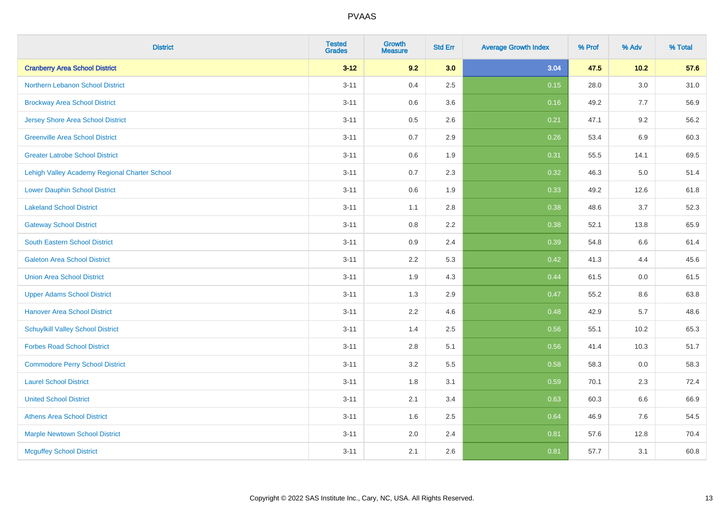| <b>District</b>                               | <b>Tested</b><br><b>Grades</b> | Growth<br>Measure | <b>Std Err</b> | <b>Average Growth Index</b> | % Prof | % Adv | % Total |
|-----------------------------------------------|--------------------------------|-------------------|----------------|-----------------------------|--------|-------|---------|
| <b>Cranberry Area School District</b>         | $3 - 12$                       | 9.2               | 3.0            | 3.04                        | 47.5   | 10.2  | 57.6    |
| Northern Lebanon School District              | $3 - 11$                       | 0.4               | 2.5            | 0.15                        | 28.0   | 3.0   | 31.0    |
| <b>Brockway Area School District</b>          | $3 - 11$                       | 0.6               | 3.6            | 0.16                        | 49.2   | 7.7   | 56.9    |
| Jersey Shore Area School District             | $3 - 11$                       | 0.5               | 2.6            | 0.21                        | 47.1   | 9.2   | 56.2    |
| <b>Greenville Area School District</b>        | $3 - 11$                       | 0.7               | 2.9            | 0.26                        | 53.4   | 6.9   | 60.3    |
| <b>Greater Latrobe School District</b>        | $3 - 11$                       | 0.6               | 1.9            | 0.31                        | 55.5   | 14.1  | 69.5    |
| Lehigh Valley Academy Regional Charter School | $3 - 11$                       | 0.7               | 2.3            | 0.32                        | 46.3   | 5.0   | 51.4    |
| <b>Lower Dauphin School District</b>          | $3 - 11$                       | 0.6               | 1.9            | 0.33                        | 49.2   | 12.6  | 61.8    |
| <b>Lakeland School District</b>               | $3 - 11$                       | 1.1               | 2.8            | 0.38                        | 48.6   | 3.7   | 52.3    |
| <b>Gateway School District</b>                | $3 - 11$                       | 0.8               | 2.2            | 0.38                        | 52.1   | 13.8  | 65.9    |
| <b>South Eastern School District</b>          | $3 - 11$                       | 0.9               | 2.4            | 0.39                        | 54.8   | 6.6   | 61.4    |
| <b>Galeton Area School District</b>           | $3 - 11$                       | 2.2               | 5.3            | 0.42                        | 41.3   | 4.4   | 45.6    |
| <b>Union Area School District</b>             | $3 - 11$                       | 1.9               | 4.3            | 0.44                        | 61.5   | 0.0   | 61.5    |
| <b>Upper Adams School District</b>            | $3 - 11$                       | 1.3               | 2.9            | 0.47                        | 55.2   | 8.6   | 63.8    |
| <b>Hanover Area School District</b>           | $3 - 11$                       | 2.2               | 4.6            | 0.48                        | 42.9   | 5.7   | 48.6    |
| <b>Schuylkill Valley School District</b>      | $3 - 11$                       | 1.4               | 2.5            | 0.56                        | 55.1   | 10.2  | 65.3    |
| <b>Forbes Road School District</b>            | $3 - 11$                       | 2.8               | 5.1            | 0.56                        | 41.4   | 10.3  | 51.7    |
| <b>Commodore Perry School District</b>        | $3 - 11$                       | 3.2               | 5.5            | 0.58                        | 58.3   | 0.0   | 58.3    |
| <b>Laurel School District</b>                 | $3 - 11$                       | 1.8               | 3.1            | 0.59                        | 70.1   | 2.3   | 72.4    |
| <b>United School District</b>                 | $3 - 11$                       | 2.1               | 3.4            | 0.63                        | 60.3   | 6.6   | 66.9    |
| <b>Athens Area School District</b>            | $3 - 11$                       | 1.6               | 2.5            | 0.64                        | 46.9   | 7.6   | 54.5    |
| <b>Marple Newtown School District</b>         | $3 - 11$                       | 2.0               | 2.4            | 0.81                        | 57.6   | 12.8  | 70.4    |
| <b>Mcguffey School District</b>               | $3 - 11$                       | 2.1               | 2.6            | 0.81                        | 57.7   | 3.1   | 60.8    |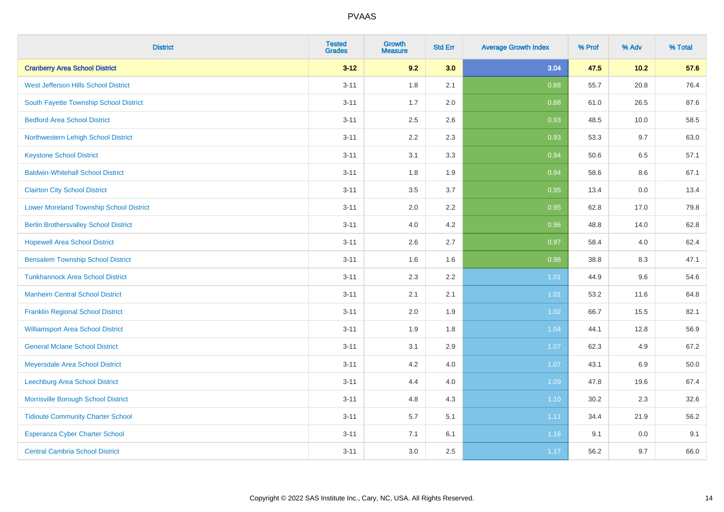| <b>District</b>                                | <b>Tested</b><br><b>Grades</b> | Growth<br><b>Measure</b> | <b>Std Err</b> | <b>Average Growth Index</b> | % Prof | % Adv   | % Total |
|------------------------------------------------|--------------------------------|--------------------------|----------------|-----------------------------|--------|---------|---------|
| <b>Cranberry Area School District</b>          | $3 - 12$                       | 9.2                      | 3.0            | 3.04                        | 47.5   | $10.2$  | 57.6    |
| West Jefferson Hills School District           | $3 - 11$                       | 1.8                      | 2.1            | 0.88                        | 55.7   | 20.8    | 76.4    |
| South Fayette Township School District         | $3 - 11$                       | 1.7                      | 2.0            | 0.88                        | 61.0   | 26.5    | 87.6    |
| <b>Bedford Area School District</b>            | $3 - 11$                       | 2.5                      | 2.6            | 0.93                        | 48.5   | 10.0    | 58.5    |
| Northwestern Lehigh School District            | $3 - 11$                       | 2.2                      | 2.3            | 0.93                        | 53.3   | 9.7     | 63.0    |
| <b>Keystone School District</b>                | $3 - 11$                       | 3.1                      | 3.3            | 0.94                        | 50.6   | 6.5     | 57.1    |
| <b>Baldwin-Whitehall School District</b>       | $3 - 11$                       | 1.8                      | 1.9            | 0.94                        | 58.6   | $8.6\,$ | 67.1    |
| <b>Clairton City School District</b>           | $3 - 11$                       | 3.5                      | 3.7            | 0.95                        | 13.4   | 0.0     | 13.4    |
| <b>Lower Moreland Township School District</b> | $3 - 11$                       | 2.0                      | 2.2            | 0.95                        | 62.8   | 17.0    | 79.8    |
| <b>Berlin Brothersvalley School District</b>   | $3 - 11$                       | 4.0                      | 4.2            | 0.96                        | 48.8   | 14.0    | 62.8    |
| <b>Hopewell Area School District</b>           | $3 - 11$                       | 2.6                      | 2.7            | 0.97                        | 58.4   | 4.0     | 62.4    |
| <b>Bensalem Township School District</b>       | $3 - 11$                       | 1.6                      | 1.6            | 0.98                        | 38.8   | 8.3     | 47.1    |
| <b>Tunkhannock Area School District</b>        | $3 - 11$                       | 2.3                      | 2.2            | 1.01                        | 44.9   | 9.6     | 54.6    |
| <b>Manheim Central School District</b>         | $3 - 11$                       | 2.1                      | 2.1            | 1.01                        | 53.2   | 11.6    | 64.8    |
| <b>Franklin Regional School District</b>       | $3 - 11$                       | 2.0                      | 1.9            | 1.02                        | 66.7   | 15.5    | 82.1    |
| <b>Williamsport Area School District</b>       | $3 - 11$                       | 1.9                      | 1.8            | 1.04                        | 44.1   | 12.8    | 56.9    |
| <b>General Mclane School District</b>          | $3 - 11$                       | 3.1                      | 2.9            | 1.07                        | 62.3   | 4.9     | 67.2    |
| Meyersdale Area School District                | $3 - 11$                       | 4.2                      | 4.0            | 1.07                        | 43.1   | $6.9\,$ | 50.0    |
| <b>Leechburg Area School District</b>          | $3 - 11$                       | 4.4                      | 4.0            | 1.09                        | 47.8   | 19.6    | 67.4    |
| Morrisville Borough School District            | $3 - 11$                       | 4.8                      | 4.3            | 1.10                        | 30.2   | 2.3     | 32.6    |
| <b>Tidioute Community Charter School</b>       | $3 - 11$                       | 5.7                      | 5.1            | 1.11                        | 34.4   | 21.9    | 56.2    |
| Esperanza Cyber Charter School                 | $3 - 11$                       | 7.1                      | 6.1            | 1.16                        | 9.1    | 0.0     | 9.1     |
| <b>Central Cambria School District</b>         | $3 - 11$                       | 3.0                      | 2.5            | 1.17                        | 56.2   | 9.7     | 66.0    |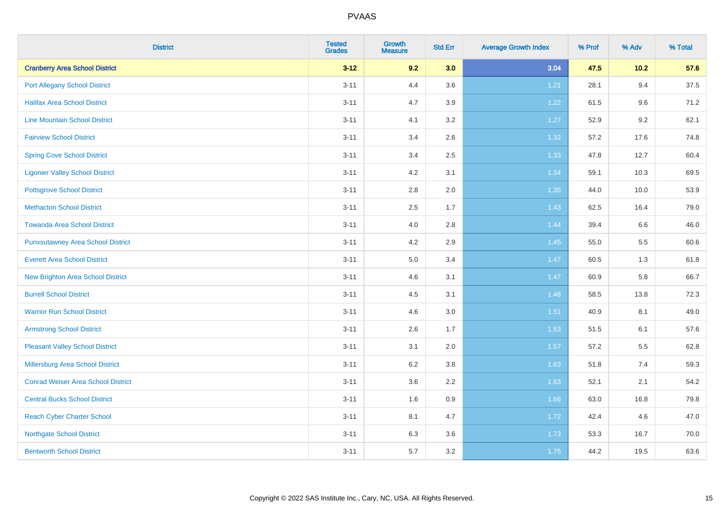| <b>District</b>                           | <b>Tested</b><br><b>Grades</b> | <b>Growth</b><br><b>Measure</b> | <b>Std Err</b> | <b>Average Growth Index</b> | % Prof | % Adv  | % Total |
|-------------------------------------------|--------------------------------|---------------------------------|----------------|-----------------------------|--------|--------|---------|
| <b>Cranberry Area School District</b>     | $3 - 12$                       | 9.2                             | 3.0            | 3.04                        | 47.5   | $10.2$ | 57.6    |
| <b>Port Allegany School District</b>      | $3 - 11$                       | 4.4                             | 3.6            | 1.21                        | 28.1   | 9.4    | 37.5    |
| <b>Halifax Area School District</b>       | $3 - 11$                       | 4.7                             | 3.9            | 1.22                        | 61.5   | 9.6    | 71.2    |
| <b>Line Mountain School District</b>      | $3 - 11$                       | 4.1                             | 3.2            | 1.27                        | 52.9   | 9.2    | 62.1    |
| <b>Fairview School District</b>           | $3 - 11$                       | 3.4                             | 2.6            | $1.32$                      | 57.2   | 17.6   | 74.8    |
| <b>Spring Cove School District</b>        | $3 - 11$                       | 3.4                             | 2.5            | 1.33                        | 47.8   | 12.7   | 60.4    |
| <b>Ligonier Valley School District</b>    | $3 - 11$                       | 4.2                             | 3.1            | 1.34                        | 59.1   | 10.3   | 69.5    |
| <b>Pottsgrove School District</b>         | $3 - 11$                       | 2.8                             | 2.0            | 1.35                        | 44.0   | 10.0   | 53.9    |
| <b>Methacton School District</b>          | $3 - 11$                       | 2.5                             | 1.7            | 1.43                        | 62.5   | 16.4   | 79.0    |
| <b>Towanda Area School District</b>       | $3 - 11$                       | 4.0                             | 2.8            | 1.44                        | 39.4   | 6.6    | 46.0    |
| <b>Punxsutawney Area School District</b>  | $3 - 11$                       | 4.2                             | 2.9            | 1.45                        | 55.0   | 5.5    | 60.6    |
| <b>Everett Area School District</b>       | $3 - 11$                       | 5.0                             | 3.4            | 1.47                        | 60.5   | 1.3    | 61.8    |
| New Brighton Area School District         | $3 - 11$                       | 4.6                             | 3.1            | 1.47                        | 60.9   | 5.8    | 66.7    |
| <b>Burrell School District</b>            | $3 - 11$                       | 4.5                             | 3.1            | 1.48                        | 58.5   | 13.8   | 72.3    |
| <b>Warrior Run School District</b>        | $3 - 11$                       | 4.6                             | 3.0            | 1.51                        | 40.9   | 8.1    | 49.0    |
| <b>Armstrong School District</b>          | $3 - 11$                       | 2.6                             | 1.7            | 1.53                        | 51.5   | 6.1    | 57.6    |
| <b>Pleasant Valley School District</b>    | $3 - 11$                       | 3.1                             | 2.0            | 1.57                        | 57.2   | 5.5    | 62.8    |
| Millersburg Area School District          | $3 - 11$                       | 6.2                             | 3.8            | 1.63                        | 51.8   | 7.4    | 59.3    |
| <b>Conrad Weiser Area School District</b> | $3 - 11$                       | 3.6                             | 2.2            | 1.63                        | 52.1   | 2.1    | 54.2    |
| <b>Central Bucks School District</b>      | $3 - 11$                       | 1.6                             | 0.9            | 1.66                        | 63.0   | 16.8   | 79.8    |
| <b>Reach Cyber Charter School</b>         | $3 - 11$                       | 8.1                             | 4.7            | 1.72                        | 42.4   | 4.6    | 47.0    |
| <b>Northgate School District</b>          | $3 - 11$                       | 6.3                             | 3.6            | 1.73                        | 53.3   | 16.7   | 70.0    |
| <b>Bentworth School District</b>          | $3 - 11$                       | 5.7                             | 3.2            | 1.75                        | 44.2   | 19.5   | 63.6    |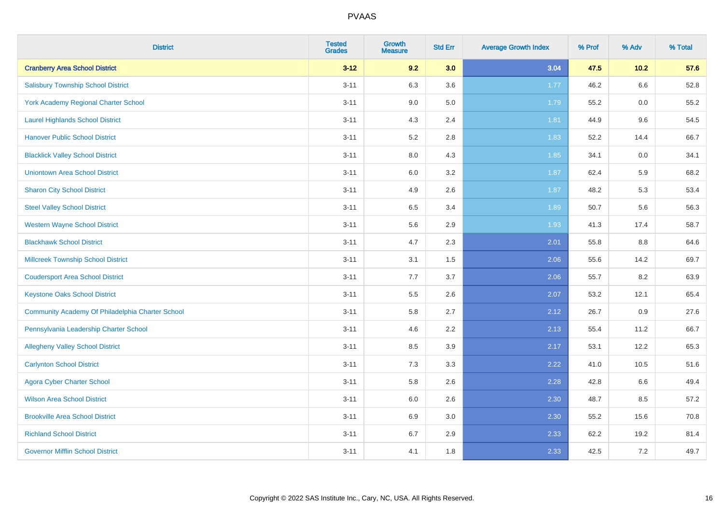| <b>District</b>                                  | <b>Tested</b><br><b>Grades</b> | <b>Growth</b><br><b>Measure</b> | <b>Std Err</b> | <b>Average Growth Index</b> | % Prof | % Adv  | % Total |
|--------------------------------------------------|--------------------------------|---------------------------------|----------------|-----------------------------|--------|--------|---------|
| <b>Cranberry Area School District</b>            | $3 - 12$                       | 9.2                             | 3.0            | 3.04                        | 47.5   | $10.2$ | 57.6    |
| <b>Salisbury Township School District</b>        | $3 - 11$                       | 6.3                             | 3.6            | 1.77                        | 46.2   | 6.6    | 52.8    |
| York Academy Regional Charter School             | $3 - 11$                       | 9.0                             | 5.0            | 1.79                        | 55.2   | 0.0    | 55.2    |
| <b>Laurel Highlands School District</b>          | $3 - 11$                       | 4.3                             | 2.4            | 1.81                        | 44.9   | 9.6    | 54.5    |
| <b>Hanover Public School District</b>            | $3 - 11$                       | 5.2                             | 2.8            | 1.83                        | 52.2   | 14.4   | 66.7    |
| <b>Blacklick Valley School District</b>          | $3 - 11$                       | $8.0\,$                         | 4.3            | 1.85                        | 34.1   | 0.0    | 34.1    |
| <b>Uniontown Area School District</b>            | $3 - 11$                       | $6.0\,$                         | 3.2            | 1.87                        | 62.4   | 5.9    | 68.2    |
| <b>Sharon City School District</b>               | $3 - 11$                       | 4.9                             | 2.6            | 1.87                        | 48.2   | 5.3    | 53.4    |
| <b>Steel Valley School District</b>              | $3 - 11$                       | 6.5                             | 3.4            | 1.89                        | 50.7   | 5.6    | 56.3    |
| <b>Western Wayne School District</b>             | $3 - 11$                       | $5.6\,$                         | 2.9            | 1.93                        | 41.3   | 17.4   | 58.7    |
| <b>Blackhawk School District</b>                 | $3 - 11$                       | 4.7                             | 2.3            | 2.01                        | 55.8   | 8.8    | 64.6    |
| <b>Millcreek Township School District</b>        | $3 - 11$                       | 3.1                             | 1.5            | 2.06                        | 55.6   | 14.2   | 69.7    |
| <b>Coudersport Area School District</b>          | $3 - 11$                       | 7.7                             | 3.7            | 2.06                        | 55.7   | 8.2    | 63.9    |
| <b>Keystone Oaks School District</b>             | $3 - 11$                       | $5.5\,$                         | 2.6            | 2.07                        | 53.2   | 12.1   | 65.4    |
| Community Academy Of Philadelphia Charter School | $3 - 11$                       | 5.8                             | 2.7            | 2.12                        | 26.7   | 0.9    | 27.6    |
| Pennsylvania Leadership Charter School           | $3 - 11$                       | 4.6                             | 2.2            | 2.13                        | 55.4   | 11.2   | 66.7    |
| <b>Allegheny Valley School District</b>          | $3 - 11$                       | 8.5                             | 3.9            | 2.17                        | 53.1   | 12.2   | 65.3    |
| <b>Carlynton School District</b>                 | $3 - 11$                       | 7.3                             | 3.3            | 2.22                        | 41.0   | 10.5   | 51.6    |
| <b>Agora Cyber Charter School</b>                | $3 - 11$                       | 5.8                             | 2.6            | 2.28                        | 42.8   | 6.6    | 49.4    |
| <b>Wilson Area School District</b>               | $3 - 11$                       | 6.0                             | 2.6            | 2.30                        | 48.7   | 8.5    | 57.2    |
| <b>Brookville Area School District</b>           | $3 - 11$                       | 6.9                             | 3.0            | 2.30                        | 55.2   | 15.6   | 70.8    |
| <b>Richland School District</b>                  | $3 - 11$                       | 6.7                             | 2.9            | 2.33                        | 62.2   | 19.2   | 81.4    |
| <b>Governor Mifflin School District</b>          | $3 - 11$                       | 4.1                             | 1.8            | 2.33                        | 42.5   | 7.2    | 49.7    |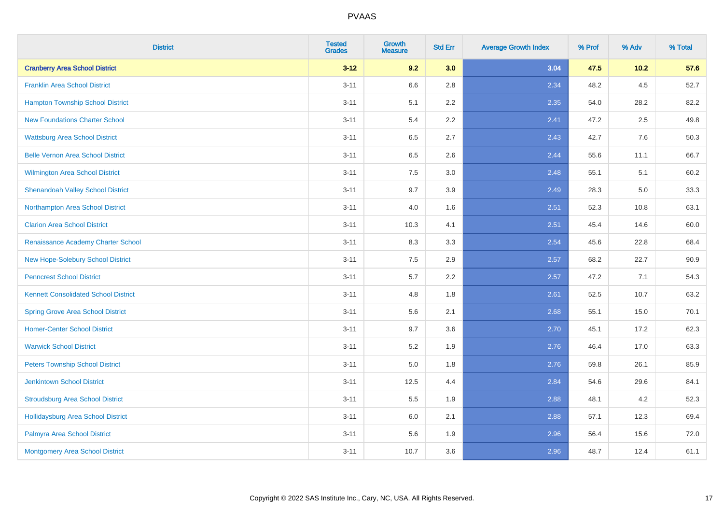| <b>District</b>                             | <b>Tested</b><br><b>Grades</b> | <b>Growth</b><br><b>Measure</b> | <b>Std Err</b> | <b>Average Growth Index</b> | % Prof | % Adv  | % Total |
|---------------------------------------------|--------------------------------|---------------------------------|----------------|-----------------------------|--------|--------|---------|
| <b>Cranberry Area School District</b>       | $3 - 12$                       | 9.2                             | 3.0            | 3.04                        | 47.5   | $10.2$ | 57.6    |
| <b>Franklin Area School District</b>        | $3 - 11$                       | 6.6                             | 2.8            | 2.34                        | 48.2   | 4.5    | 52.7    |
| <b>Hampton Township School District</b>     | $3 - 11$                       | 5.1                             | 2.2            | 2.35                        | 54.0   | 28.2   | 82.2    |
| <b>New Foundations Charter School</b>       | $3 - 11$                       | 5.4                             | 2.2            | 2.41                        | 47.2   | 2.5    | 49.8    |
| <b>Wattsburg Area School District</b>       | $3 - 11$                       | 6.5                             | 2.7            | 2.43                        | 42.7   | 7.6    | 50.3    |
| <b>Belle Vernon Area School District</b>    | $3 - 11$                       | 6.5                             | 2.6            | 2.44                        | 55.6   | 11.1   | 66.7    |
| Wilmington Area School District             | $3 - 11$                       | 7.5                             | 3.0            | 2.48                        | 55.1   | 5.1    | 60.2    |
| <b>Shenandoah Valley School District</b>    | $3 - 11$                       | 9.7                             | 3.9            | 2.49                        | 28.3   | 5.0    | 33.3    |
| Northampton Area School District            | $3 - 11$                       | 4.0                             | 1.6            | 2.51                        | 52.3   | 10.8   | 63.1    |
| <b>Clarion Area School District</b>         | $3 - 11$                       | 10.3                            | 4.1            | 2.51                        | 45.4   | 14.6   | 60.0    |
| Renaissance Academy Charter School          | $3 - 11$                       | 8.3                             | 3.3            | 2.54                        | 45.6   | 22.8   | 68.4    |
| <b>New Hope-Solebury School District</b>    | $3 - 11$                       | 7.5                             | 2.9            | 2.57                        | 68.2   | 22.7   | 90.9    |
| <b>Penncrest School District</b>            | $3 - 11$                       | 5.7                             | 2.2            | 2.57                        | 47.2   | 7.1    | 54.3    |
| <b>Kennett Consolidated School District</b> | $3 - 11$                       | 4.8                             | 1.8            | 2.61                        | 52.5   | 10.7   | 63.2    |
| <b>Spring Grove Area School District</b>    | $3 - 11$                       | 5.6                             | 2.1            | 2.68                        | 55.1   | 15.0   | 70.1    |
| <b>Homer-Center School District</b>         | $3 - 11$                       | 9.7                             | 3.6            | 2.70                        | 45.1   | 17.2   | 62.3    |
| <b>Warwick School District</b>              | $3 - 11$                       | 5.2                             | 1.9            | 2.76                        | 46.4   | 17.0   | 63.3    |
| <b>Peters Township School District</b>      | $3 - 11$                       | 5.0                             | 1.8            | 2.76                        | 59.8   | 26.1   | 85.9    |
| <b>Jenkintown School District</b>           | $3 - 11$                       | 12.5                            | 4.4            | 2.84                        | 54.6   | 29.6   | 84.1    |
| <b>Stroudsburg Area School District</b>     | $3 - 11$                       | 5.5                             | 1.9            | 2.88                        | 48.1   | 4.2    | 52.3    |
| Hollidaysburg Area School District          | $3 - 11$                       | 6.0                             | 2.1            | 2.88                        | 57.1   | 12.3   | 69.4    |
| Palmyra Area School District                | $3 - 11$                       | 5.6                             | 1.9            | 2.96                        | 56.4   | 15.6   | 72.0    |
| Montgomery Area School District             | $3 - 11$                       | 10.7                            | 3.6            | 2.96                        | 48.7   | 12.4   | 61.1    |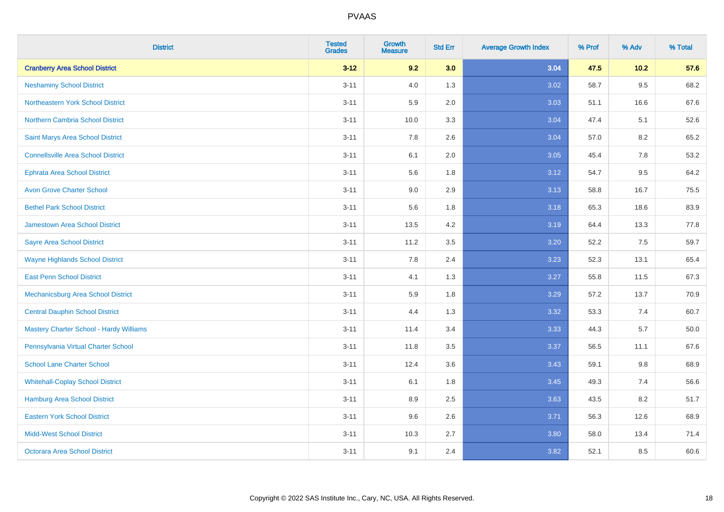| <b>District</b>                                | <b>Tested</b><br><b>Grades</b> | <b>Growth</b><br><b>Measure</b> | <b>Std Err</b> | <b>Average Growth Index</b> | % Prof | % Adv   | % Total |
|------------------------------------------------|--------------------------------|---------------------------------|----------------|-----------------------------|--------|---------|---------|
| <b>Cranberry Area School District</b>          | $3 - 12$                       | 9.2                             | 3.0            | 3.04                        | 47.5   | 10.2    | 57.6    |
| <b>Neshaminy School District</b>               | $3 - 11$                       | 4.0                             | 1.3            | 3.02                        | 58.7   | $9.5\,$ | 68.2    |
| Northeastern York School District              | $3 - 11$                       | 5.9                             | 2.0            | 3.03                        | 51.1   | 16.6    | 67.6    |
| <b>Northern Cambria School District</b>        | $3 - 11$                       | 10.0                            | 3.3            | 3.04                        | 47.4   | 5.1     | 52.6    |
| Saint Marys Area School District               | $3 - 11$                       | 7.8                             | 2.6            | 3.04                        | 57.0   | 8.2     | 65.2    |
| <b>Connellsville Area School District</b>      | $3 - 11$                       | 6.1                             | 2.0            | 3.05                        | 45.4   | 7.8     | 53.2    |
| <b>Ephrata Area School District</b>            | $3 - 11$                       | 5.6                             | 1.8            | 3.12                        | 54.7   | 9.5     | 64.2    |
| <b>Avon Grove Charter School</b>               | $3 - 11$                       | 9.0                             | 2.9            | 3.13                        | 58.8   | 16.7    | 75.5    |
| <b>Bethel Park School District</b>             | $3 - 11$                       | 5.6                             | 1.8            | 3.18                        | 65.3   | 18.6    | 83.9    |
| <b>Jamestown Area School District</b>          | $3 - 11$                       | 13.5                            | 4.2            | 3.19                        | 64.4   | 13.3    | 77.8    |
| <b>Sayre Area School District</b>              | $3 - 11$                       | 11.2                            | 3.5            | 3.20                        | 52.2   | 7.5     | 59.7    |
| <b>Wayne Highlands School District</b>         | $3 - 11$                       | 7.8                             | 2.4            | 3.23                        | 52.3   | 13.1    | 65.4    |
| <b>East Penn School District</b>               | $3 - 11$                       | 4.1                             | 1.3            | 3.27                        | 55.8   | 11.5    | 67.3    |
| <b>Mechanicsburg Area School District</b>      | $3 - 11$                       | 5.9                             | 1.8            | 3.29                        | 57.2   | 13.7    | 70.9    |
| <b>Central Dauphin School District</b>         | $3 - 11$                       | 4.4                             | 1.3            | 3.32                        | 53.3   | 7.4     | 60.7    |
| <b>Mastery Charter School - Hardy Williams</b> | $3 - 11$                       | 11.4                            | 3.4            | 3.33                        | 44.3   | 5.7     | 50.0    |
| Pennsylvania Virtual Charter School            | $3 - 11$                       | 11.8                            | 3.5            | 3.37                        | 56.5   | 11.1    | 67.6    |
| <b>School Lane Charter School</b>              | $3 - 11$                       | 12.4                            | 3.6            | 3.43                        | 59.1   | 9.8     | 68.9    |
| <b>Whitehall-Coplay School District</b>        | $3 - 11$                       | 6.1                             | 1.8            | 3.45                        | 49.3   | 7.4     | 56.6    |
| Hamburg Area School District                   | $3 - 11$                       | 8.9                             | 2.5            | 3.63                        | 43.5   | 8.2     | 51.7    |
| <b>Eastern York School District</b>            | $3 - 11$                       | 9.6                             | 2.6            | 3.71                        | 56.3   | 12.6    | 68.9    |
| <b>Midd-West School District</b>               | $3 - 11$                       | 10.3                            | 2.7            | 3.80                        | 58.0   | 13.4    | 71.4    |
| <b>Octorara Area School District</b>           | $3 - 11$                       | 9.1                             | 2.4            | 3.82                        | 52.1   | 8.5     | 60.6    |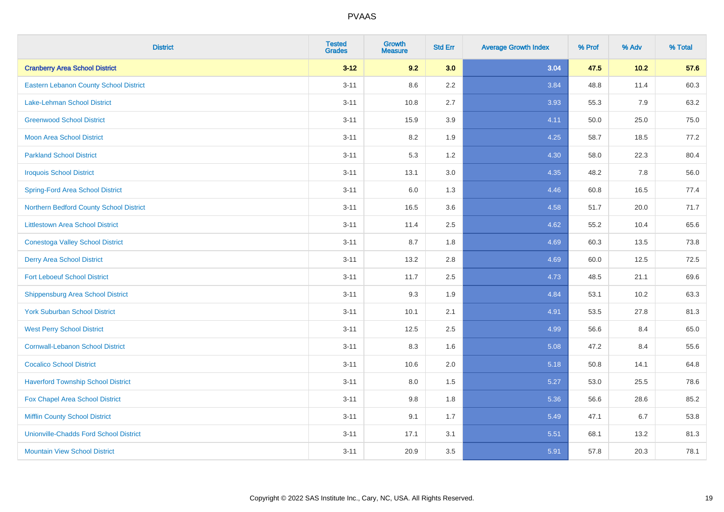| <b>District</b>                               | <b>Tested</b><br><b>Grades</b> | <b>Growth</b><br><b>Measure</b> | <b>Std Err</b> | <b>Average Growth Index</b> | % Prof | % Adv  | % Total |
|-----------------------------------------------|--------------------------------|---------------------------------|----------------|-----------------------------|--------|--------|---------|
| <b>Cranberry Area School District</b>         | $3 - 12$                       | 9.2                             | 3.0            | 3.04                        | 47.5   | $10.2$ | 57.6    |
| <b>Eastern Lebanon County School District</b> | $3 - 11$                       | 8.6                             | 2.2            | 3.84                        | 48.8   | 11.4   | 60.3    |
| <b>Lake-Lehman School District</b>            | $3 - 11$                       | 10.8                            | 2.7            | 3.93                        | 55.3   | 7.9    | 63.2    |
| <b>Greenwood School District</b>              | $3 - 11$                       | 15.9                            | 3.9            | 4.11                        | 50.0   | 25.0   | 75.0    |
| <b>Moon Area School District</b>              | $3 - 11$                       | 8.2                             | 1.9            | 4.25                        | 58.7   | 18.5   | 77.2    |
| <b>Parkland School District</b>               | $3 - 11$                       | 5.3                             | 1.2            | 4.30                        | 58.0   | 22.3   | 80.4    |
| <b>Iroquois School District</b>               | $3 - 11$                       | 13.1                            | 3.0            | 4.35                        | 48.2   | 7.8    | 56.0    |
| <b>Spring-Ford Area School District</b>       | $3 - 11$                       | 6.0                             | 1.3            | 4.46                        | 60.8   | 16.5   | 77.4    |
| Northern Bedford County School District       | $3 - 11$                       | 16.5                            | 3.6            | 4.58                        | 51.7   | 20.0   | 71.7    |
| <b>Littlestown Area School District</b>       | $3 - 11$                       | 11.4                            | 2.5            | 4.62                        | 55.2   | 10.4   | 65.6    |
| <b>Conestoga Valley School District</b>       | $3 - 11$                       | 8.7                             | 1.8            | 4.69                        | 60.3   | 13.5   | 73.8    |
| <b>Derry Area School District</b>             | $3 - 11$                       | 13.2                            | 2.8            | 4.69                        | 60.0   | 12.5   | 72.5    |
| <b>Fort Leboeuf School District</b>           | $3 - 11$                       | 11.7                            | 2.5            | 4.73                        | 48.5   | 21.1   | 69.6    |
| <b>Shippensburg Area School District</b>      | $3 - 11$                       | 9.3                             | 1.9            | 4.84                        | 53.1   | 10.2   | 63.3    |
| <b>York Suburban School District</b>          | $3 - 11$                       | 10.1                            | 2.1            | 4.91                        | 53.5   | 27.8   | 81.3    |
| <b>West Perry School District</b>             | $3 - 11$                       | 12.5                            | 2.5            | 4.99                        | 56.6   | 8.4    | 65.0    |
| <b>Cornwall-Lebanon School District</b>       | $3 - 11$                       | 8.3                             | 1.6            | 5.08                        | 47.2   | 8.4    | 55.6    |
| <b>Cocalico School District</b>               | $3 - 11$                       | 10.6                            | 2.0            | 5.18                        | 50.8   | 14.1   | 64.8    |
| <b>Haverford Township School District</b>     | $3 - 11$                       | 8.0                             | 1.5            | 5.27                        | 53.0   | 25.5   | 78.6    |
| Fox Chapel Area School District               | $3 - 11$                       | 9.8                             | 1.8            | 5.36                        | 56.6   | 28.6   | 85.2    |
| <b>Mifflin County School District</b>         | $3 - 11$                       | 9.1                             | 1.7            | 5.49                        | 47.1   | 6.7    | 53.8    |
| <b>Unionville-Chadds Ford School District</b> | $3 - 11$                       | 17.1                            | 3.1            | 5.51                        | 68.1   | 13.2   | 81.3    |
| <b>Mountain View School District</b>          | $3 - 11$                       | 20.9                            | 3.5            | 5.91                        | 57.8   | 20.3   | 78.1    |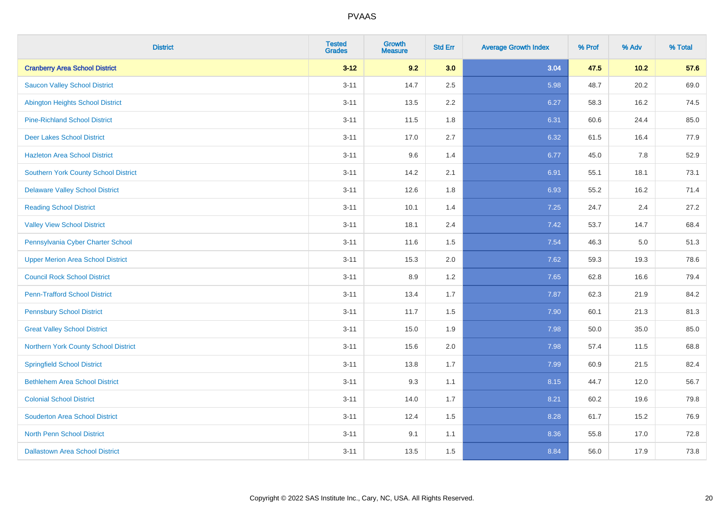| <b>District</b>                          | <b>Tested</b><br><b>Grades</b> | <b>Growth</b><br><b>Measure</b> | <b>Std Err</b> | <b>Average Growth Index</b> | % Prof | % Adv | % Total |
|------------------------------------------|--------------------------------|---------------------------------|----------------|-----------------------------|--------|-------|---------|
| <b>Cranberry Area School District</b>    | $3 - 12$                       | 9.2                             | 3.0            | 3.04                        | 47.5   | 10.2  | 57.6    |
| <b>Saucon Valley School District</b>     | $3 - 11$                       | 14.7                            | 2.5            | 5.98                        | 48.7   | 20.2  | 69.0    |
| <b>Abington Heights School District</b>  | $3 - 11$                       | 13.5                            | 2.2            | 6.27                        | 58.3   | 16.2  | 74.5    |
| <b>Pine-Richland School District</b>     | $3 - 11$                       | 11.5                            | 1.8            | 6.31                        | 60.6   | 24.4  | 85.0    |
| <b>Deer Lakes School District</b>        | $3 - 11$                       | 17.0                            | 2.7            | 6.32                        | 61.5   | 16.4  | 77.9    |
| <b>Hazleton Area School District</b>     | $3 - 11$                       | 9.6                             | 1.4            | 6.77                        | 45.0   | 7.8   | 52.9    |
| Southern York County School District     | $3 - 11$                       | 14.2                            | 2.1            | 6.91                        | 55.1   | 18.1  | 73.1    |
| <b>Delaware Valley School District</b>   | $3 - 11$                       | 12.6                            | 1.8            | 6.93                        | 55.2   | 16.2  | 71.4    |
| <b>Reading School District</b>           | $3 - 11$                       | 10.1                            | 1.4            | 7.25                        | 24.7   | 2.4   | 27.2    |
| <b>Valley View School District</b>       | $3 - 11$                       | 18.1                            | 2.4            | 7.42                        | 53.7   | 14.7  | 68.4    |
| Pennsylvania Cyber Charter School        | $3 - 11$                       | 11.6                            | 1.5            | 7.54                        | 46.3   | 5.0   | 51.3    |
| <b>Upper Merion Area School District</b> | $3 - 11$                       | 15.3                            | 2.0            | 7.62                        | 59.3   | 19.3  | 78.6    |
| <b>Council Rock School District</b>      | $3 - 11$                       | 8.9                             | 1.2            | 7.65                        | 62.8   | 16.6  | 79.4    |
| <b>Penn-Trafford School District</b>     | $3 - 11$                       | 13.4                            | 1.7            | 7.87                        | 62.3   | 21.9  | 84.2    |
| <b>Pennsbury School District</b>         | $3 - 11$                       | 11.7                            | 1.5            | 7.90                        | 60.1   | 21.3  | 81.3    |
| <b>Great Valley School District</b>      | $3 - 11$                       | 15.0                            | 1.9            | 7.98                        | 50.0   | 35.0  | 85.0    |
| Northern York County School District     | $3 - 11$                       | 15.6                            | 2.0            | 7.98                        | 57.4   | 11.5  | 68.8    |
| <b>Springfield School District</b>       | $3 - 11$                       | 13.8                            | 1.7            | 7.99                        | 60.9   | 21.5  | 82.4    |
| <b>Bethlehem Area School District</b>    | $3 - 11$                       | 9.3                             | 1.1            | 8.15                        | 44.7   | 12.0  | 56.7    |
| <b>Colonial School District</b>          | $3 - 11$                       | 14.0                            | 1.7            | 8.21                        | 60.2   | 19.6  | 79.8    |
| <b>Souderton Area School District</b>    | $3 - 11$                       | 12.4                            | 1.5            | 8.28                        | 61.7   | 15.2  | 76.9    |
| <b>North Penn School District</b>        | $3 - 11$                       | 9.1                             | 1.1            | 8.36                        | 55.8   | 17.0  | 72.8    |
| <b>Dallastown Area School District</b>   | $3 - 11$                       | 13.5                            | 1.5            | 8.84                        | 56.0   | 17.9  | 73.8    |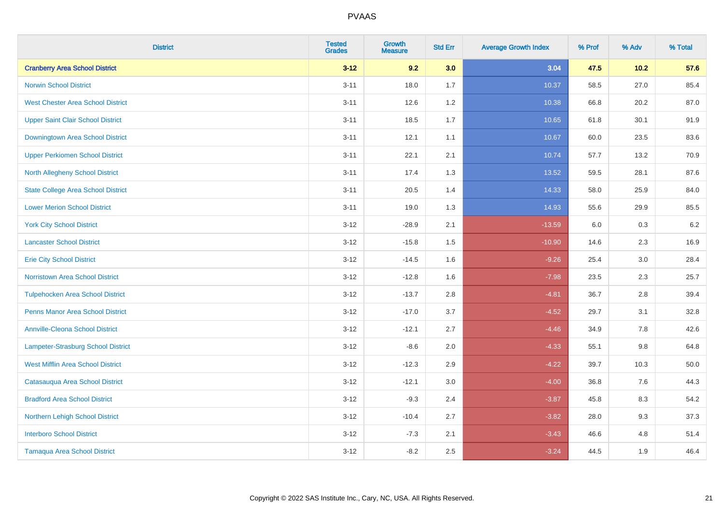| <b>District</b>                           | <b>Tested</b><br><b>Grades</b> | <b>Growth</b><br><b>Measure</b> | <b>Std Err</b> | <b>Average Growth Index</b> | % Prof | % Adv   | % Total |
|-------------------------------------------|--------------------------------|---------------------------------|----------------|-----------------------------|--------|---------|---------|
| <b>Cranberry Area School District</b>     | $3 - 12$                       | 9.2                             | 3.0            | 3.04                        | 47.5   | 10.2    | 57.6    |
| <b>Norwin School District</b>             | $3 - 11$                       | 18.0                            | 1.7            | 10.37                       | 58.5   | 27.0    | 85.4    |
| <b>West Chester Area School District</b>  | $3 - 11$                       | 12.6                            | $1.2$          | 10.38                       | 66.8   | 20.2    | 87.0    |
| <b>Upper Saint Clair School District</b>  | $3 - 11$                       | 18.5                            | 1.7            | 10.65                       | 61.8   | 30.1    | 91.9    |
| Downingtown Area School District          | $3 - 11$                       | 12.1                            | 1.1            | 10.67                       | 60.0   | 23.5    | 83.6    |
| <b>Upper Perkiomen School District</b>    | $3 - 11$                       | 22.1                            | 2.1            | 10.74                       | 57.7   | 13.2    | 70.9    |
| North Allegheny School District           | $3 - 11$                       | 17.4                            | 1.3            | 13.52                       | 59.5   | 28.1    | 87.6    |
| <b>State College Area School District</b> | $3 - 11$                       | 20.5                            | 1.4            | 14.33                       | 58.0   | 25.9    | 84.0    |
| <b>Lower Merion School District</b>       | $3 - 11$                       | 19.0                            | 1.3            | 14.93                       | 55.6   | 29.9    | 85.5    |
| <b>York City School District</b>          | $3 - 12$                       | $-28.9$                         | 2.1            | $-13.59$                    | 6.0    | 0.3     | 6.2     |
| <b>Lancaster School District</b>          | $3 - 12$                       | $-15.8$                         | 1.5            | $-10.90$                    | 14.6   | 2.3     | 16.9    |
| <b>Erie City School District</b>          | $3 - 12$                       | $-14.5$                         | 1.6            | $-9.26$                     | 25.4   | 3.0     | 28.4    |
| Norristown Area School District           | $3-12$                         | $-12.8$                         | 1.6            | $-7.98$                     | 23.5   | $2.3\,$ | 25.7    |
| <b>Tulpehocken Area School District</b>   | $3 - 12$                       | $-13.7$                         | 2.8            | $-4.81$                     | 36.7   | 2.8     | 39.4    |
| <b>Penns Manor Area School District</b>   | $3 - 12$                       | $-17.0$                         | 3.7            | $-4.52$                     | 29.7   | 3.1     | 32.8    |
| <b>Annville-Cleona School District</b>    | $3 - 12$                       | $-12.1$                         | 2.7            | $-4.46$                     | 34.9   | 7.8     | 42.6    |
| Lampeter-Strasburg School District        | $3 - 12$                       | $-8.6$                          | 2.0            | $-4.33$                     | 55.1   | 9.8     | 64.8    |
| <b>West Mifflin Area School District</b>  | $3 - 12$                       | $-12.3$                         | 2.9            | $-4.22$                     | 39.7   | 10.3    | 50.0    |
| Catasauqua Area School District           | $3 - 12$                       | $-12.1$                         | 3.0            | $-4.00$                     | 36.8   | 7.6     | 44.3    |
| <b>Bradford Area School District</b>      | $3 - 12$                       | $-9.3$                          | 2.4            | $-3.87$                     | 45.8   | 8.3     | 54.2    |
| Northern Lehigh School District           | $3 - 12$                       | $-10.4$                         | 2.7            | $-3.82$                     | 28.0   | 9.3     | 37.3    |
| <b>Interboro School District</b>          | $3 - 12$                       | $-7.3$                          | 2.1            | $-3.43$                     | 46.6   | 4.8     | 51.4    |
| <b>Tamaqua Area School District</b>       | $3 - 12$                       | $-8.2$                          | 2.5            | $-3.24$                     | 44.5   | 1.9     | 46.4    |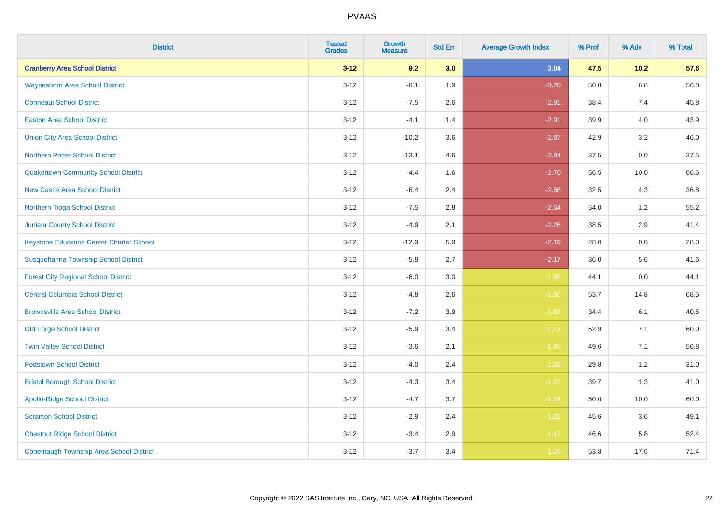| <b>District</b>                                 | <b>Tested</b><br><b>Grades</b> | <b>Growth</b><br><b>Measure</b> | <b>Std Err</b> | <b>Average Growth Index</b> | % Prof | % Adv   | % Total |
|-------------------------------------------------|--------------------------------|---------------------------------|----------------|-----------------------------|--------|---------|---------|
| <b>Cranberry Area School District</b>           | $3 - 12$                       | 9.2                             | 3.0            | 3.04                        | 47.5   | $10.2$  | 57.6    |
| <b>Waynesboro Area School District</b>          | $3 - 12$                       | $-6.1$                          | 1.9            | $-3.20$                     | 50.0   | $6.8\,$ | 56.8    |
| <b>Conneaut School District</b>                 | $3 - 12$                       | $-7.5$                          | 2.6            | $-2.91$                     | 38.4   | 7.4     | 45.8    |
| <b>Easton Area School District</b>              | $3 - 12$                       | $-4.1$                          | 1.4            | $-2.91$                     | 39.9   | 4.0     | 43.9    |
| <b>Union City Area School District</b>          | $3-12$                         | $-10.2$                         | 3.6            | $-2.87$                     | 42.9   | 3.2     | 46.0    |
| <b>Northern Potter School District</b>          | $3 - 12$                       | $-13.1$                         | 4.6            | $-2.84$                     | 37.5   | 0.0     | 37.5    |
| <b>Quakertown Community School District</b>     | $3 - 12$                       | $-4.4$                          | 1.6            | $-2.70$                     | 56.5   | 10.0    | 66.6    |
| <b>New Castle Area School District</b>          | $3 - 12$                       | $-6.4$                          | 2.4            | $-2.66$                     | 32.5   | 4.3     | 36.8    |
| Northern Tioga School District                  | $3 - 12$                       | $-7.5$                          | 2.8            | $-2.64$                     | 54.0   | 1.2     | 55.2    |
| <b>Juniata County School District</b>           | $3-12$                         | $-4.9$                          | 2.1            | $-2.26$                     | 38.5   | 2.9     | 41.4    |
| <b>Keystone Education Center Charter School</b> | $3 - 12$                       | $-12.9$                         | 5.9            | $-2.19$                     | 28.0   | 0.0     | 28.0    |
| Susquehanna Township School District            | $3 - 12$                       | $-5.8$                          | 2.7            | $-2.17$                     | 36.0   | 5.6     | 41.6    |
| <b>Forest City Regional School District</b>     | $3 - 12$                       | $-6.0$                          | $3.0\,$        | $-1.96$                     | 44.1   | $0.0\,$ | 44.1    |
| <b>Central Columbia School District</b>         | $3 - 12$                       | $-4.8$                          | 2.6            | $-1.86$                     | 53.7   | 14.8    | 68.5    |
| <b>Brownsville Area School District</b>         | $3 - 12$                       | $-7.2$                          | 3.9            | $-1.83$                     | 34.4   | 6.1     | 40.5    |
| <b>Old Forge School District</b>                | $3 - 12$                       | $-5.9$                          | 3.4            | $-1.73$                     | 52.9   | 7.1     | 60.0    |
| <b>Twin Valley School District</b>              | $3 - 12$                       | $-3.6$                          | 2.1            | $-1.69$                     | 49.6   | 7.1     | 56.8    |
| <b>Pottstown School District</b>                | $3 - 12$                       | $-4.0$                          | 2.4            | $-1.68$                     | 29.8   | 1.2     | 31.0    |
| <b>Bristol Borough School District</b>          | $3 - 12$                       | $-4.3$                          | 3.4            | $-1.27$                     | 39.7   | 1.3     | 41.0    |
| <b>Apollo-Ridge School District</b>             | $3 - 12$                       | $-4.7$                          | 3.7            | $-1.24$                     | 50.0   | 10.0    | 60.0    |
| <b>Scranton School District</b>                 | $3-12$                         | $-2.9$                          | 2.4            | $-1.22$                     | 45.6   | 3.6     | 49.1    |
| <b>Chestnut Ridge School District</b>           | $3 - 12$                       | $-3.4$                          | 2.9            | $-1.17$                     | 46.6   | 5.8     | 52.4    |
| <b>Conemaugh Township Area School District</b>  | $3 - 12$                       | $-3.7$                          | 3.4            | $-1.09$                     | 53.8   | 17.6    | 71.4    |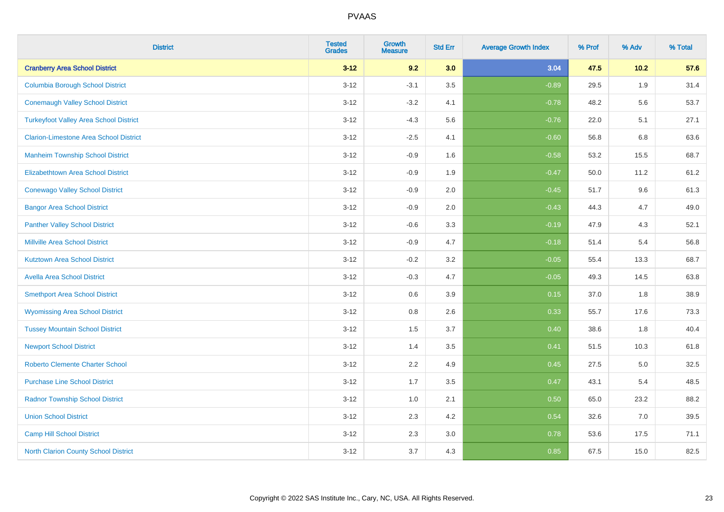| <b>District</b>                               | <b>Tested</b><br><b>Grades</b> | <b>Growth</b><br><b>Measure</b> | <b>Std Err</b> | <b>Average Growth Index</b> | % Prof | % Adv | % Total |
|-----------------------------------------------|--------------------------------|---------------------------------|----------------|-----------------------------|--------|-------|---------|
| <b>Cranberry Area School District</b>         | $3 - 12$                       | 9.2                             | 3.0            | 3.04                        | 47.5   | 10.2  | 57.6    |
| <b>Columbia Borough School District</b>       | $3 - 12$                       | $-3.1$                          | 3.5            | $-0.89$                     | 29.5   | 1.9   | 31.4    |
| <b>Conemaugh Valley School District</b>       | $3 - 12$                       | $-3.2$                          | 4.1            | $-0.78$                     | 48.2   | 5.6   | 53.7    |
| <b>Turkeyfoot Valley Area School District</b> | $3 - 12$                       | $-4.3$                          | 5.6            | $-0.76$                     | 22.0   | 5.1   | 27.1    |
| <b>Clarion-Limestone Area School District</b> | $3 - 12$                       | $-2.5$                          | 4.1            | $-0.60$                     | 56.8   | 6.8   | 63.6    |
| <b>Manheim Township School District</b>       | $3 - 12$                       | $-0.9$                          | 1.6            | $-0.58$                     | 53.2   | 15.5  | 68.7    |
| Elizabethtown Area School District            | $3 - 12$                       | $-0.9$                          | 1.9            | $-0.47$                     | 50.0   | 11.2  | 61.2    |
| <b>Conewago Valley School District</b>        | $3 - 12$                       | $-0.9$                          | 2.0            | $-0.45$                     | 51.7   | 9.6   | 61.3    |
| <b>Bangor Area School District</b>            | $3 - 12$                       | $-0.9$                          | 2.0            | $-0.43$                     | 44.3   | 4.7   | 49.0    |
| <b>Panther Valley School District</b>         | $3 - 12$                       | $-0.6$                          | 3.3            | $-0.19$                     | 47.9   | 4.3   | 52.1    |
| Millville Area School District                | $3 - 12$                       | $-0.9$                          | 4.7            | $-0.18$                     | 51.4   | 5.4   | 56.8    |
| <b>Kutztown Area School District</b>          | $3 - 12$                       | $-0.2$                          | 3.2            | $-0.05$                     | 55.4   | 13.3  | 68.7    |
| <b>Avella Area School District</b>            | $3 - 12$                       | $-0.3$                          | 4.7            | $-0.05$                     | 49.3   | 14.5  | 63.8    |
| <b>Smethport Area School District</b>         | $3 - 12$                       | 0.6                             | 3.9            | 0.15                        | 37.0   | 1.8   | 38.9    |
| <b>Wyomissing Area School District</b>        | $3 - 12$                       | 0.8                             | 2.6            | 0.33                        | 55.7   | 17.6  | 73.3    |
| <b>Tussey Mountain School District</b>        | $3 - 12$                       | 1.5                             | 3.7            | 0.40                        | 38.6   | 1.8   | 40.4    |
| <b>Newport School District</b>                | $3 - 12$                       | 1.4                             | 3.5            | 0.41                        | 51.5   | 10.3  | 61.8    |
| <b>Roberto Clemente Charter School</b>        | $3 - 12$                       | 2.2                             | 4.9            | 0.45                        | 27.5   | 5.0   | 32.5    |
| <b>Purchase Line School District</b>          | $3 - 12$                       | 1.7                             | 3.5            | 0.47                        | 43.1   | 5.4   | 48.5    |
| <b>Radnor Township School District</b>        | $3 - 12$                       | 1.0                             | 2.1            | 0.50                        | 65.0   | 23.2  | 88.2    |
| <b>Union School District</b>                  | $3 - 12$                       | 2.3                             | 4.2            | 0.54                        | 32.6   | 7.0   | 39.5    |
| <b>Camp Hill School District</b>              | $3 - 12$                       | 2.3                             | 3.0            | 0.78                        | 53.6   | 17.5  | 71.1    |
| North Clarion County School District          | $3 - 12$                       | 3.7                             | 4.3            | 0.85                        | 67.5   | 15.0  | 82.5    |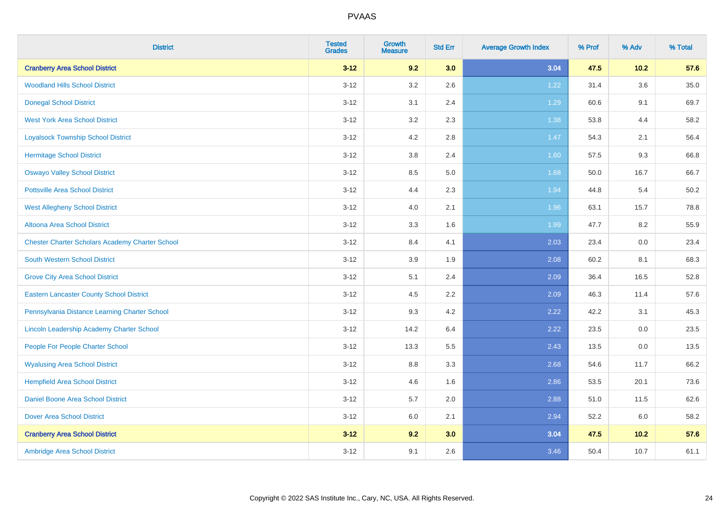| <b>District</b>                                        | <b>Tested</b><br><b>Grades</b> | <b>Growth</b><br><b>Measure</b> | <b>Std Err</b> | <b>Average Growth Index</b> | % Prof | % Adv  | % Total |
|--------------------------------------------------------|--------------------------------|---------------------------------|----------------|-----------------------------|--------|--------|---------|
| <b>Cranberry Area School District</b>                  | $3 - 12$                       | 9.2                             | 3.0            | 3.04                        | 47.5   | $10.2$ | 57.6    |
| <b>Woodland Hills School District</b>                  | $3 - 12$                       | 3.2                             | 2.6            | 1.22                        | 31.4   | 3.6    | 35.0    |
| <b>Donegal School District</b>                         | $3 - 12$                       | 3.1                             | 2.4            | 1.29                        | 60.6   | 9.1    | 69.7    |
| <b>West York Area School District</b>                  | $3 - 12$                       | 3.2                             | 2.3            | 1.38                        | 53.8   | 4.4    | 58.2    |
| <b>Loyalsock Township School District</b>              | $3 - 12$                       | 4.2                             | 2.8            | 1.47                        | 54.3   | 2.1    | 56.4    |
| <b>Hermitage School District</b>                       | $3 - 12$                       | $3.8\,$                         | 2.4            | 1.60                        | 57.5   | 9.3    | 66.8    |
| <b>Oswayo Valley School District</b>                   | $3 - 12$                       | 8.5                             | 5.0            | 1.68                        | 50.0   | 16.7   | 66.7    |
| <b>Pottsville Area School District</b>                 | $3 - 12$                       | 4.4                             | 2.3            | 1.94                        | 44.8   | 5.4    | 50.2    |
| <b>West Allegheny School District</b>                  | $3 - 12$                       | 4.0                             | 2.1            | 1.96                        | 63.1   | 15.7   | 78.8    |
| Altoona Area School District                           | $3 - 12$                       | 3.3                             | 1.6            | 1.99                        | 47.7   | 8.2    | 55.9    |
| <b>Chester Charter Scholars Academy Charter School</b> | $3 - 12$                       | 8.4                             | 4.1            | 2.03                        | 23.4   | 0.0    | 23.4    |
| <b>South Western School District</b>                   | $3 - 12$                       | 3.9                             | 1.9            | 2.08                        | 60.2   | 8.1    | 68.3    |
| <b>Grove City Area School District</b>                 | $3 - 12$                       | 5.1                             | 2.4            | 2.09                        | 36.4   | 16.5   | 52.8    |
| <b>Eastern Lancaster County School District</b>        | $3 - 12$                       | 4.5                             | 2.2            | 2.09                        | 46.3   | 11.4   | 57.6    |
| Pennsylvania Distance Learning Charter School          | $3 - 12$                       | 9.3                             | 4.2            | 2.22                        | 42.2   | 3.1    | 45.3    |
| Lincoln Leadership Academy Charter School              | $3 - 12$                       | 14.2                            | 6.4            | 2.22                        | 23.5   | 0.0    | 23.5    |
| People For People Charter School                       | $3-12$                         | 13.3                            | 5.5            | 2.43                        | 13.5   | 0.0    | 13.5    |
| <b>Wyalusing Area School District</b>                  | $3-12$                         | 8.8                             | 3.3            | 2.68                        | 54.6   | 11.7   | 66.2    |
| <b>Hempfield Area School District</b>                  | $3 - 12$                       | 4.6                             | 1.6            | 2.86                        | 53.5   | 20.1   | 73.6    |
| <b>Daniel Boone Area School District</b>               | $3-12$                         | 5.7                             | 2.0            | 2.88                        | 51.0   | 11.5   | 62.6    |
| <b>Dover Area School District</b>                      | $3 - 12$                       | 6.0                             | 2.1            | 2.94                        | 52.2   | 6.0    | 58.2    |
| <b>Cranberry Area School District</b>                  | $3 - 12$                       | 9.2                             | 3.0            | 3.04                        | 47.5   | 10.2   | 57.6    |
| Ambridge Area School District                          | $3 - 12$                       | 9.1                             | 2.6            | 3.46                        | 50.4   | 10.7   | 61.1    |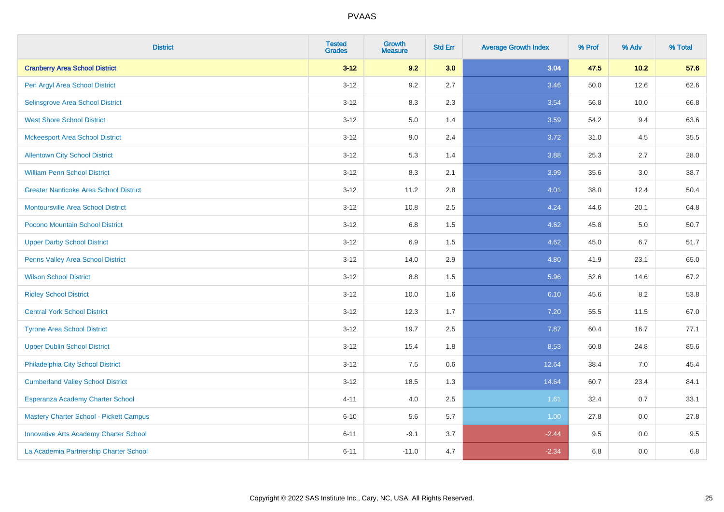| <b>District</b>                               | <b>Tested</b><br><b>Grades</b> | <b>Growth</b><br><b>Measure</b> | <b>Std Err</b> | <b>Average Growth Index</b> | % Prof | % Adv  | % Total |
|-----------------------------------------------|--------------------------------|---------------------------------|----------------|-----------------------------|--------|--------|---------|
| <b>Cranberry Area School District</b>         | $3 - 12$                       | 9.2                             | 3.0            | 3.04                        | 47.5   | $10.2$ | 57.6    |
| Pen Argyl Area School District                | $3 - 12$                       | $9.2\,$                         | 2.7            | 3.46                        | 50.0   | 12.6   | 62.6    |
| Selinsgrove Area School District              | $3 - 12$                       | 8.3                             | 2.3            | 3.54                        | 56.8   | 10.0   | 66.8    |
| <b>West Shore School District</b>             | $3 - 12$                       | $5.0\,$                         | 1.4            | 3.59                        | 54.2   | 9.4    | 63.6    |
| <b>Mckeesport Area School District</b>        | $3 - 12$                       | 9.0                             | 2.4            | 3.72                        | 31.0   | 4.5    | 35.5    |
| <b>Allentown City School District</b>         | $3 - 12$                       | 5.3                             | 1.4            | 3.88                        | 25.3   | 2.7    | 28.0    |
| <b>William Penn School District</b>           | $3 - 12$                       | 8.3                             | 2.1            | 3.99                        | 35.6   | 3.0    | 38.7    |
| <b>Greater Nanticoke Area School District</b> | $3 - 12$                       | 11.2                            | 2.8            | 4.01                        | 38.0   | 12.4   | 50.4    |
| Montoursville Area School District            | $3 - 12$                       | 10.8                            | 2.5            | 4.24                        | 44.6   | 20.1   | 64.8    |
| Pocono Mountain School District               | $3 - 12$                       | 6.8                             | 1.5            | 4.62                        | 45.8   | 5.0    | 50.7    |
| <b>Upper Darby School District</b>            | $3 - 12$                       | 6.9                             | 1.5            | 4.62                        | 45.0   | 6.7    | 51.7    |
| Penns Valley Area School District             | $3 - 12$                       | 14.0                            | 2.9            | 4.80                        | 41.9   | 23.1   | 65.0    |
| <b>Wilson School District</b>                 | $3 - 12$                       | 8.8                             | 1.5            | 5.96                        | 52.6   | 14.6   | 67.2    |
| <b>Ridley School District</b>                 | $3 - 12$                       | 10.0                            | 1.6            | 6.10                        | 45.6   | 8.2    | 53.8    |
| <b>Central York School District</b>           | $3 - 12$                       | 12.3                            | 1.7            | 7.20                        | 55.5   | 11.5   | 67.0    |
| <b>Tyrone Area School District</b>            | $3 - 12$                       | 19.7                            | 2.5            | 7.87                        | 60.4   | 16.7   | 77.1    |
| <b>Upper Dublin School District</b>           | $3 - 12$                       | 15.4                            | 1.8            | 8.53                        | 60.8   | 24.8   | 85.6    |
| Philadelphia City School District             | $3 - 12$                       | 7.5                             | 0.6            | 12.64                       | 38.4   | 7.0    | 45.4    |
| <b>Cumberland Valley School District</b>      | $3 - 12$                       | 18.5                            | 1.3            | 14.64                       | 60.7   | 23.4   | 84.1    |
| Esperanza Academy Charter School              | $4 - 11$                       | 4.0                             | 2.5            | 1.61                        | 32.4   | 0.7    | 33.1    |
| Mastery Charter School - Pickett Campus       | $6 - 10$                       | 5.6                             | 5.7            | 1.00                        | 27.8   | 0.0    | 27.8    |
| <b>Innovative Arts Academy Charter School</b> | $6 - 11$                       | $-9.1$                          | 3.7            | $-2.44$                     | 9.5    | 0.0    | 9.5     |
| La Academia Partnership Charter School        | $6 - 11$                       | $-11.0$                         | 4.7            | $-2.34$                     | 6.8    | 0.0    | 6.8     |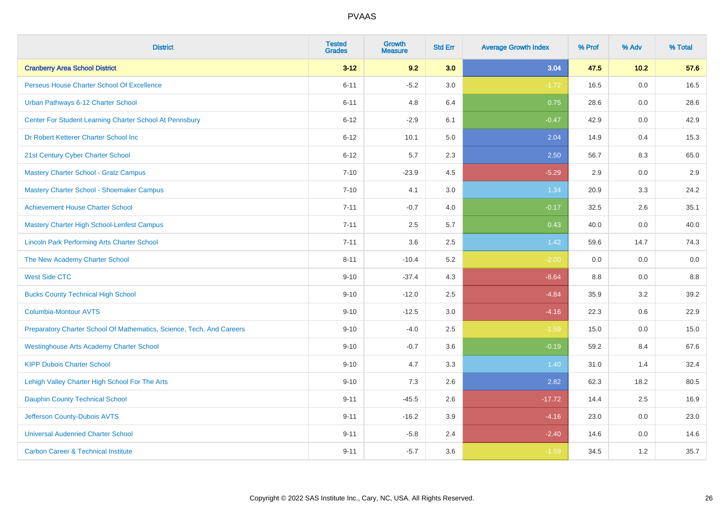| <b>District</b>                                                       | <b>Tested</b><br><b>Grades</b> | <b>Growth</b><br><b>Measure</b> | <b>Std Err</b> | <b>Average Growth Index</b> | % Prof | % Adv   | % Total |
|-----------------------------------------------------------------------|--------------------------------|---------------------------------|----------------|-----------------------------|--------|---------|---------|
| <b>Cranberry Area School District</b>                                 | $3 - 12$                       | 9.2                             | 3.0            | 3.04                        | 47.5   | 10.2    | 57.6    |
| Perseus House Charter School Of Excellence                            | $6 - 11$                       | $-5.2$                          | 3.0            | $-1.72$                     | 16.5   | 0.0     | 16.5    |
| Urban Pathways 6-12 Charter School                                    | $6 - 11$                       | 4.8                             | 6.4            | 0.75                        | 28.6   | 0.0     | 28.6    |
| Center For Student Learning Charter School At Pennsbury               | $6 - 12$                       | $-2.9$                          | 6.1            | $-0.47$                     | 42.9   | 0.0     | 42.9    |
| Dr Robert Ketterer Charter School Inc                                 | $6 - 12$                       | 10.1                            | 5.0            | 2.04                        | 14.9   | 0.4     | 15.3    |
| 21st Century Cyber Charter School                                     | $6 - 12$                       | 5.7                             | 2.3            | 2.50                        | 56.7   | 8.3     | 65.0    |
| <b>Mastery Charter School - Gratz Campus</b>                          | $7 - 10$                       | $-23.9$                         | 4.5            | $-5.29$                     | 2.9    | 0.0     | 2.9     |
| Mastery Charter School - Shoemaker Campus                             | $7 - 10$                       | 4.1                             | 3.0            | 1.34                        | 20.9   | 3.3     | 24.2    |
| <b>Achievement House Charter School</b>                               | $7 - 11$                       | $-0.7$                          | 4.0            | $-0.17$                     | 32.5   | 2.6     | 35.1    |
| <b>Mastery Charter High School-Lenfest Campus</b>                     | $7 - 11$                       | 2.5                             | 5.7            | 0.43                        | 40.0   | 0.0     | 40.0    |
| <b>Lincoln Park Performing Arts Charter School</b>                    | $7 - 11$                       | 3.6                             | 2.5            | 1.42                        | 59.6   | 14.7    | 74.3    |
| The New Academy Charter School                                        | $8 - 11$                       | $-10.4$                         | 5.2            | $-2.00$                     | 0.0    | 0.0     | 0.0     |
| <b>West Side CTC</b>                                                  | $9 - 10$                       | $-37.4$                         | 4.3            | $-8.64$                     | 8.8    | 0.0     | $8.8\,$ |
| <b>Bucks County Technical High School</b>                             | $9 - 10$                       | $-12.0$                         | 2.5            | $-4.84$                     | 35.9   | 3.2     | 39.2    |
| <b>Columbia-Montour AVTS</b>                                          | $9 - 10$                       | $-12.5$                         | 3.0            | $-4.16$                     | 22.3   | $0.6\,$ | 22.9    |
| Preparatory Charter School Of Mathematics, Science, Tech, And Careers | $9 - 10$                       | $-4.0$                          | 2.5            | $-1.59$                     | 15.0   | $0.0\,$ | 15.0    |
| <b>Westinghouse Arts Academy Charter School</b>                       | $9 - 10$                       | $-0.7$                          | 3.6            | $-0.19$                     | 59.2   | 8.4     | 67.6    |
| <b>KIPP Dubois Charter School</b>                                     | $9 - 10$                       | 4.7                             | 3.3            | 1.40                        | 31.0   | 1.4     | 32.4    |
| Lehigh Valley Charter High School For The Arts                        | $9 - 10$                       | 7.3                             | 2.6            | 2.82                        | 62.3   | 18.2    | 80.5    |
| <b>Dauphin County Technical School</b>                                | $9 - 11$                       | $-45.5$                         | 2.6            | $-17.72$                    | 14.4   | 2.5     | 16.9    |
| Jefferson County-Dubois AVTS                                          | $9 - 11$                       | $-16.2$                         | 3.9            | $-4.16$                     | 23.0   | 0.0     | 23.0    |
| <b>Universal Audenried Charter School</b>                             | $9 - 11$                       | $-5.8$                          | 2.4            | $-2.40$                     | 14.6   | 0.0     | 14.6    |
| <b>Carbon Career &amp; Technical Institute</b>                        | $9 - 11$                       | $-5.7$                          | 3.6            | $-1.59$                     | 34.5   | 1.2     | 35.7    |